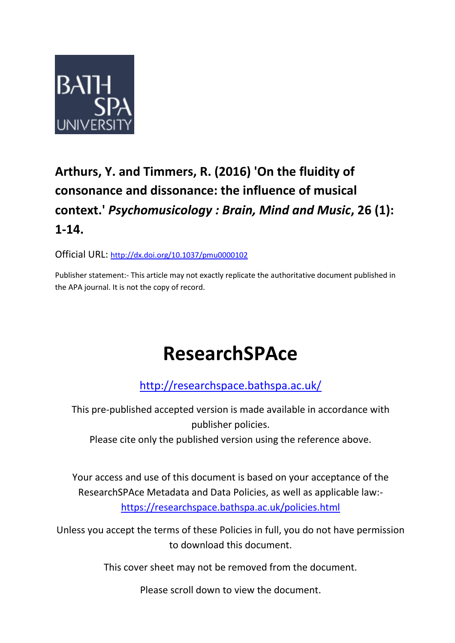

# **Arthurs, Y. and Timmers, R. (2016) 'On the fluidity of consonance and dissonance: the influence of musical context.'** *Psychomusicology : Brain, Mind and Music***, 26 (1): 1-14.**

Official URL: <http://dx.doi.org/10.1037/pmu0000102>

Publisher statement:- This article may not exactly replicate the authoritative document published in the APA journal. It is not the copy of record.

# **ResearchSPAce**

<http://researchspace.bathspa.ac.uk/>

This pre-published accepted version is made available in accordance with publisher policies.

Please cite only the published version using the reference above.

Your access and use of this document is based on your acceptance of the ResearchSPAce Metadata and Data Policies, as well as applicable law: https://researchspace.bathspa.ac.uk/policies.html

Unless you accept the terms of these Policies in full, you do not have permission to download this document.

This cover sheet may not be removed from the document.

Please scroll down to view the document.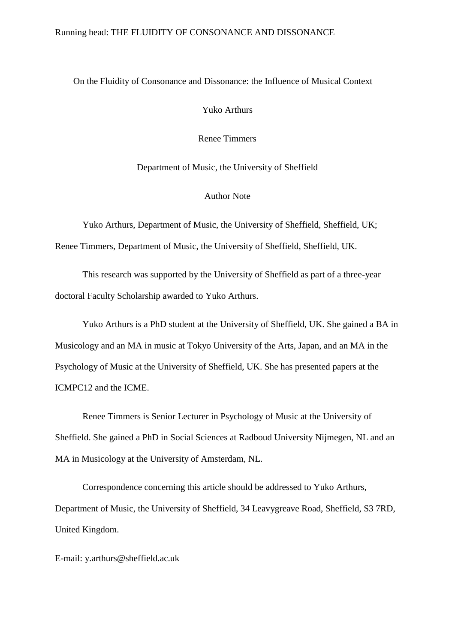# On the Fluidity of Consonance and Dissonance: the Influence of Musical Context

Yuko Arthurs

Renee Timmers

Department of Music, the University of Sheffield

Author Note

Yuko Arthurs, Department of Music, the University of Sheffield, Sheffield, UK; Renee Timmers, Department of Music, the University of Sheffield, Sheffield, UK.

This research was supported by the University of Sheffield as part of a three-year doctoral Faculty Scholarship awarded to Yuko Arthurs.

Yuko Arthurs is a PhD student at the University of Sheffield, UK. She gained a BA in Musicology and an MA in music at Tokyo University of the Arts, Japan, and an MA in the Psychology of Music at the University of Sheffield, UK. She has presented papers at the ICMPC12 and the ICME.

Renee Timmers is Senior Lecturer in Psychology of Music at the University of Sheffield. She gained a PhD in Social Sciences at Radboud University Nijmegen, NL and an MA in Musicology at the University of Amsterdam, NL.

Correspondence concerning this article should be addressed to Yuko Arthurs, Department of Music, the University of Sheffield, 34 Leavygreave Road, Sheffield, S3 7RD, United Kingdom.

E-mail: y.arthurs@sheffield.ac.uk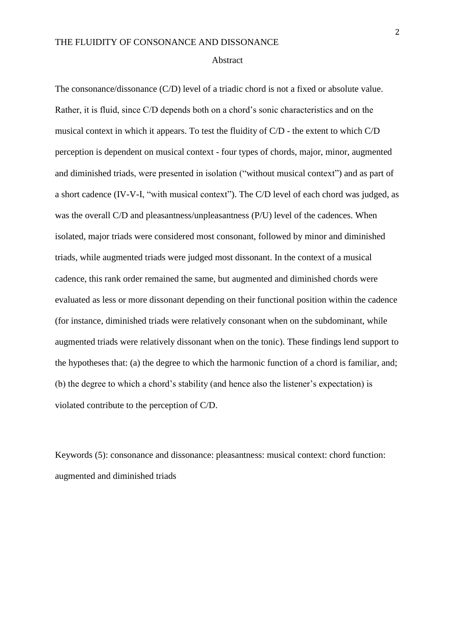#### Abstract

The consonance/dissonance (C/D) level of a triadic chord is not a fixed or absolute value. Rather, it is fluid, since C/D depends both on a chord's sonic characteristics and on the musical context in which it appears. To test the fluidity of C/D - the extent to which C/D perception is dependent on musical context - four types of chords, major, minor, augmented and diminished triads, were presented in isolation ("without musical context") and as part of a short cadence (IV-V-I, "with musical context"). The C/D level of each chord was judged, as was the overall C/D and pleasantness/unpleasantness (P/U) level of the cadences. When isolated, major triads were considered most consonant, followed by minor and diminished triads, while augmented triads were judged most dissonant. In the context of a musical cadence, this rank order remained the same, but augmented and diminished chords were evaluated as less or more dissonant depending on their functional position within the cadence (for instance, diminished triads were relatively consonant when on the subdominant, while augmented triads were relatively dissonant when on the tonic). These findings lend support to the hypotheses that: (a) the degree to which the harmonic function of a chord is familiar, and; (b) the degree to which a chord's stability (and hence also the listener's expectation) is violated contribute to the perception of C/D.

Keywords (5): consonance and dissonance: pleasantness: musical context: chord function: augmented and diminished triads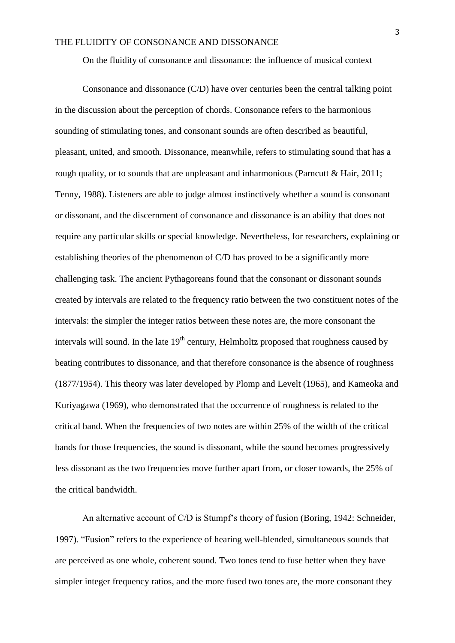On the fluidity of consonance and dissonance: the influence of musical context

Consonance and dissonance (C/D) have over centuries been the central talking point in the discussion about the perception of chords. Consonance refers to the harmonious sounding of stimulating tones, and consonant sounds are often described as beautiful, pleasant, united, and smooth. Dissonance, meanwhile, refers to stimulating sound that has a rough quality, or to sounds that are unpleasant and inharmonious (Parncutt & Hair, 2011; Tenny, 1988). Listeners are able to judge almost instinctively whether a sound is consonant or dissonant, and the discernment of consonance and dissonance is an ability that does not require any particular skills or special knowledge. Nevertheless, for researchers, explaining or establishing theories of the phenomenon of C/D has proved to be a significantly more challenging task. The ancient Pythagoreans found that the consonant or dissonant sounds created by intervals are related to the frequency ratio between the two constituent notes of the intervals: the simpler the integer ratios between these notes are, the more consonant the intervals will sound. In the late  $19<sup>th</sup>$  century, Helmholtz proposed that roughness caused by beating contributes to dissonance, and that therefore consonance is the absence of roughness (1877/1954). This theory was later developed by Plomp and Levelt (1965), and Kameoka and Kuriyagawa (1969), who demonstrated that the occurrence of roughness is related to the critical band. When the frequencies of two notes are within 25% of the width of the critical bands for those frequencies, the sound is dissonant, while the sound becomes progressively less dissonant as the two frequencies move further apart from, or closer towards, the 25% of the critical bandwidth.

An alternative account of C/D is Stumpf's theory of fusion (Boring, 1942: Schneider, 1997). "Fusion" refers to the experience of hearing well-blended, simultaneous sounds that are perceived as one whole, coherent sound. Two tones tend to fuse better when they have simpler integer frequency ratios, and the more fused two tones are, the more consonant they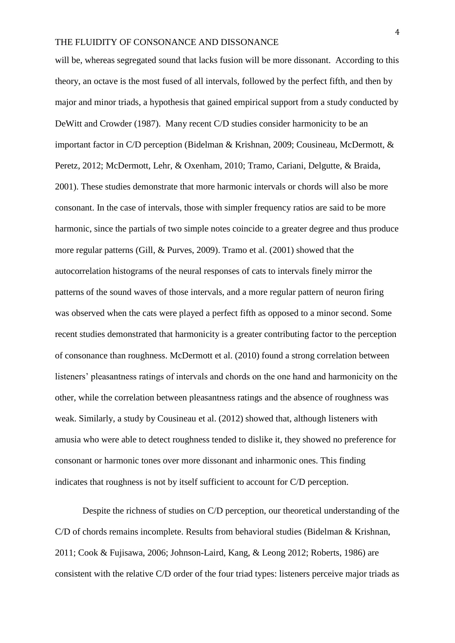will be, whereas segregated sound that lacks fusion will be more dissonant. According to this theory, an octave is the most fused of all intervals, followed by the perfect fifth, and then by major and minor triads, a hypothesis that gained empirical support from a study conducted by DeWitt and Crowder (1987). Many recent C/D studies consider harmonicity to be an important factor in C/D perception (Bidelman & Krishnan, 2009; Cousineau, McDermott, & Peretz, 2012; McDermott, Lehr, & Oxenham, 2010; Tramo, Cariani, Delgutte, & Braida, 2001). These studies demonstrate that more harmonic intervals or chords will also be more consonant. In the case of intervals, those with simpler frequency ratios are said to be more harmonic, since the partials of two simple notes coincide to a greater degree and thus produce more regular patterns (Gill, & Purves, 2009). Tramo et al. (2001) showed that the autocorrelation histograms of the neural responses of cats to intervals finely mirror the patterns of the sound waves of those intervals, and a more regular pattern of neuron firing was observed when the cats were played a perfect fifth as opposed to a minor second. Some recent studies demonstrated that harmonicity is a greater contributing factor to the perception of consonance than roughness. McDermott et al. (2010) found a strong correlation between listeners' pleasantness ratings of intervals and chords on the one hand and harmonicity on the other, while the correlation between pleasantness ratings and the absence of roughness was weak. Similarly, a study by Cousineau et al. (2012) showed that, although listeners with amusia who were able to detect roughness tended to dislike it, they showed no preference for consonant or harmonic tones over more dissonant and inharmonic ones. This finding indicates that roughness is not by itself sufficient to account for C/D perception.

Despite the richness of studies on C/D perception, our theoretical understanding of the C/D of chords remains incomplete. Results from behavioral studies (Bidelman & Krishnan, 2011; Cook & Fujisawa, 2006; Johnson-Laird, Kang, & Leong 2012; Roberts, 1986) are consistent with the relative C/D order of the four triad types: listeners perceive major triads as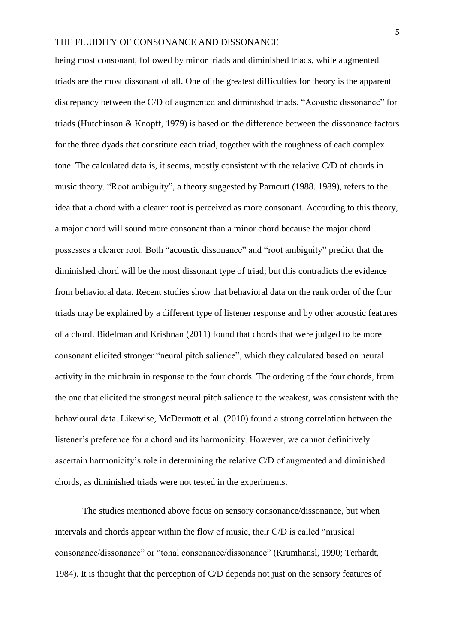being most consonant, followed by minor triads and diminished triads, while augmented triads are the most dissonant of all. One of the greatest difficulties for theory is the apparent discrepancy between the C/D of augmented and diminished triads. "Acoustic dissonance" for triads (Hutchinson & Knopff, 1979) is based on the difference between the dissonance factors for the three dyads that constitute each triad, together with the roughness of each complex tone. The calculated data is, it seems, mostly consistent with the relative C/D of chords in music theory. "Root ambiguity", a theory suggested by Parncutt (1988. 1989), refers to the idea that a chord with a clearer root is perceived as more consonant. According to this theory, a major chord will sound more consonant than a minor chord because the major chord possesses a clearer root. Both "acoustic dissonance" and "root ambiguity" predict that the diminished chord will be the most dissonant type of triad; but this contradicts the evidence from behavioral data. Recent studies show that behavioral data on the rank order of the four triads may be explained by a different type of listener response and by other acoustic features of a chord. Bidelman and Krishnan (2011) found that chords that were judged to be more consonant elicited stronger "neural pitch salience", which they calculated based on neural activity in the midbrain in response to the four chords. The ordering of the four chords, from the one that elicited the strongest neural pitch salience to the weakest, was consistent with the behavioural data. Likewise, McDermott et al. (2010) found a strong correlation between the listener's preference for a chord and its harmonicity. However, we cannot definitively ascertain harmonicity's role in determining the relative C/D of augmented and diminished chords, as diminished triads were not tested in the experiments.

The studies mentioned above focus on sensory consonance/dissonance, but when intervals and chords appear within the flow of music, their C/D is called "musical consonance/dissonance" or "tonal consonance/dissonance" (Krumhansl, 1990; Terhardt, 1984). It is thought that the perception of C/D depends not just on the sensory features of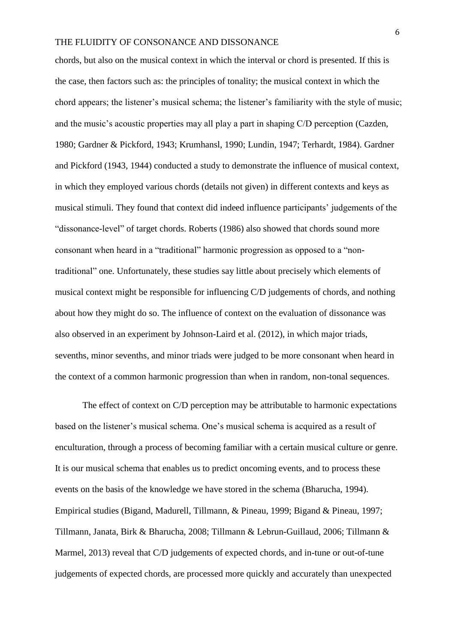chords, but also on the musical context in which the interval or chord is presented. If this is the case, then factors such as: the principles of tonality; the musical context in which the chord appears; the listener's musical schema; the listener's familiarity with the style of music; and the music's acoustic properties may all play a part in shaping C/D perception (Cazden, 1980; Gardner & Pickford, 1943; Krumhansl, 1990; Lundin, 1947; Terhardt, 1984). Gardner and Pickford (1943, 1944) conducted a study to demonstrate the influence of musical context, in which they employed various chords (details not given) in different contexts and keys as musical stimuli. They found that context did indeed influence participants' judgements of the "dissonance-level" of target chords. Roberts (1986) also showed that chords sound more consonant when heard in a "traditional" harmonic progression as opposed to a "nontraditional" one. Unfortunately, these studies say little about precisely which elements of musical context might be responsible for influencing C/D judgements of chords, and nothing about how they might do so. The influence of context on the evaluation of dissonance was also observed in an experiment by Johnson-Laird et al. (2012), in which major triads, sevenths, minor sevenths, and minor triads were judged to be more consonant when heard in the context of a common harmonic progression than when in random, non-tonal sequences.

The effect of context on C/D perception may be attributable to harmonic expectations based on the listener's musical schema. One's musical schema is acquired as a result of enculturation, through a process of becoming familiar with a certain musical culture or genre. It is our musical schema that enables us to predict oncoming events, and to process these events on the basis of the knowledge we have stored in the schema (Bharucha, 1994). Empirical studies (Bigand, Madurell, Tillmann, & Pineau, 1999; Bigand & Pineau, 1997; Tillmann, Janata, Birk & Bharucha, 2008; Tillmann & Lebrun-Guillaud, 2006; Tillmann & Marmel, 2013) reveal that C/D judgements of expected chords, and in-tune or out-of-tune judgements of expected chords, are processed more quickly and accurately than unexpected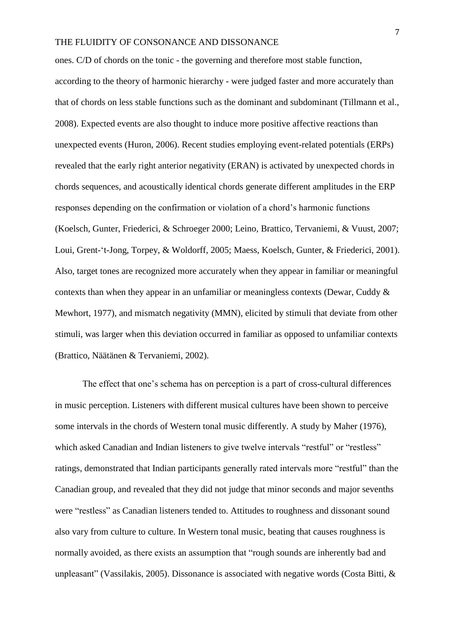ones. C/D of chords on the tonic - the governing and therefore most stable function, according to the theory of harmonic hierarchy - were judged faster and more accurately than that of chords on less stable functions such as the dominant and subdominant (Tillmann et al., 2008). Expected events are also thought to induce more positive affective reactions than unexpected events (Huron, 2006). Recent studies employing event-related potentials (ERPs) revealed that the early right anterior negativity (ERAN) is activated by unexpected chords in chords sequences, and acoustically identical chords generate different amplitudes in the ERP responses depending on the confirmation or violation of a chord's harmonic functions (Koelsch, Gunter, Friederici, & Schroeger 2000; Leino, Brattico, Tervaniemi, & Vuust, 2007; Loui, Grent-'t-Jong, Torpey, & Woldorff, 2005; Maess, Koelsch, Gunter, & Friederici, 2001). Also, target tones are recognized more accurately when they appear in familiar or meaningful contexts than when they appear in an unfamiliar or meaningless contexts (Dewar, Cuddy & Mewhort, 1977), and mismatch negativity (MMN), elicited by stimuli that deviate from other stimuli, was larger when this deviation occurred in familiar as opposed to unfamiliar contexts (Brattico, Näätänen & Tervaniemi, 2002).

The effect that one's schema has on perception is a part of cross-cultural differences in music perception. Listeners with different musical cultures have been shown to perceive some intervals in the chords of Western tonal music differently. A study by Maher (1976), which asked Canadian and Indian listeners to give twelve intervals "restful" or "restless" ratings, demonstrated that Indian participants generally rated intervals more "restful" than the Canadian group, and revealed that they did not judge that minor seconds and major sevenths were "restless" as Canadian listeners tended to. Attitudes to roughness and dissonant sound also vary from culture to culture. In Western tonal music, beating that causes roughness is normally avoided, as there exists an assumption that "rough sounds are inherently bad and unpleasant" (Vassilakis, 2005). Dissonance is associated with negative words (Costa Bitti, &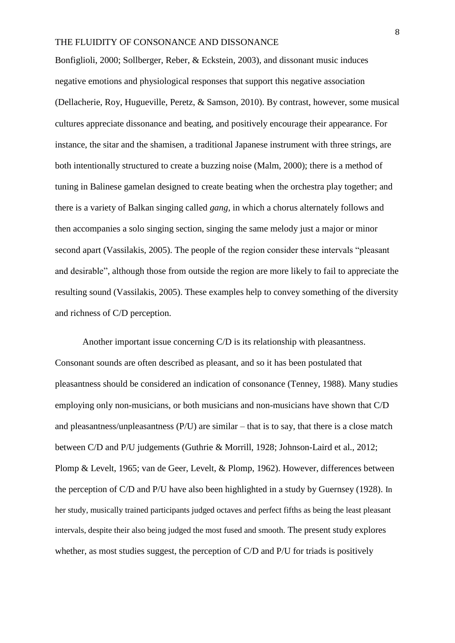Bonfiglioli, 2000; Sollberger, Reber, & Eckstein, 2003), and dissonant music induces negative emotions and physiological responses that support this negative association (Dellacherie, Roy, Hugueville, Peretz, & Samson, 2010). By contrast, however, some musical cultures appreciate dissonance and beating, and positively encourage their appearance. For instance, the sitar and the shamisen, a traditional Japanese instrument with three strings, are both intentionally structured to create a buzzing noise (Malm, 2000); there is a method of tuning in Balinese gamelan designed to create beating when the orchestra play together; and there is a variety of Balkan singing called *gang,* in which a chorus alternately follows and then accompanies a solo singing section, singing the same melody just a major or minor second apart (Vassilakis, 2005). The people of the region consider these intervals "pleasant and desirable", although those from outside the region are more likely to fail to appreciate the resulting sound (Vassilakis, 2005). These examples help to convey something of the diversity and richness of C/D perception.

Another important issue concerning C/D is its relationship with pleasantness. Consonant sounds are often described as pleasant, and so it has been postulated that pleasantness should be considered an indication of consonance (Tenney, 1988). Many studies employing only non-musicians, or both musicians and non-musicians have shown that C/D and pleasantness/unpleasantness (P/U) are similar – that is to say, that there is a close match between C/D and P/U judgements (Guthrie & Morrill, 1928; Johnson-Laird et al., 2012; Plomp & Levelt, 1965; van de Geer, Levelt, & Plomp, 1962). However, differences between the perception of C/D and P/U have also been highlighted in a study by Guernsey (1928). In her study, musically trained participants judged octaves and perfect fifths as being the least pleasant intervals, despite their also being judged the most fused and smooth. The present study explores whether, as most studies suggest, the perception of C/D and P/U for triads is positively

8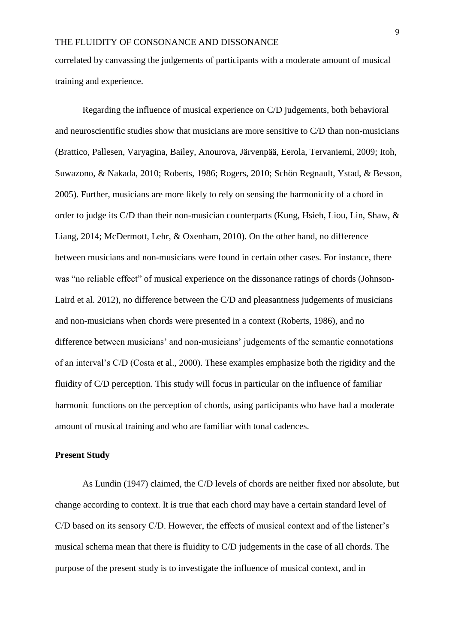correlated by canvassing the judgements of participants with a moderate amount of musical training and experience.

Regarding the influence of musical experience on C/D judgements, both behavioral and neuroscientific studies show that musicians are more sensitive to C/D than non-musicians (Brattico, Pallesen, Varyagina, Bailey, Anourova, Järvenpää, Eerola, Tervaniemi, 2009; Itoh, Suwazono, & Nakada, 2010; Roberts, 1986; Rogers, 2010; Schön Regnault, Ystad, & Besson, 2005). Further, musicians are more likely to rely on sensing the harmonicity of a chord in order to judge its C/D than their non-musician counterparts (Kung, Hsieh, Liou, Lin, Shaw, & Liang, 2014; McDermott, Lehr, & Oxenham, 2010). On the other hand, no difference between musicians and non-musicians were found in certain other cases. For instance, there was "no reliable effect" of musical experience on the dissonance ratings of chords (Johnson-Laird et al. 2012), no difference between the C/D and pleasantness judgements of musicians and non-musicians when chords were presented in a context (Roberts, 1986), and no difference between musicians' and non-musicians' judgements of the semantic connotations of an interval's C/D (Costa et al., 2000). These examples emphasize both the rigidity and the fluidity of C/D perception. This study will focus in particular on the influence of familiar harmonic functions on the perception of chords, using participants who have had a moderate amount of musical training and who are familiar with tonal cadences.

# **Present Study**

As Lundin (1947) claimed, the C/D levels of chords are neither fixed nor absolute, but change according to context. It is true that each chord may have a certain standard level of C/D based on its sensory C/D. However, the effects of musical context and of the listener's musical schema mean that there is fluidity to C/D judgements in the case of all chords. The purpose of the present study is to investigate the influence of musical context, and in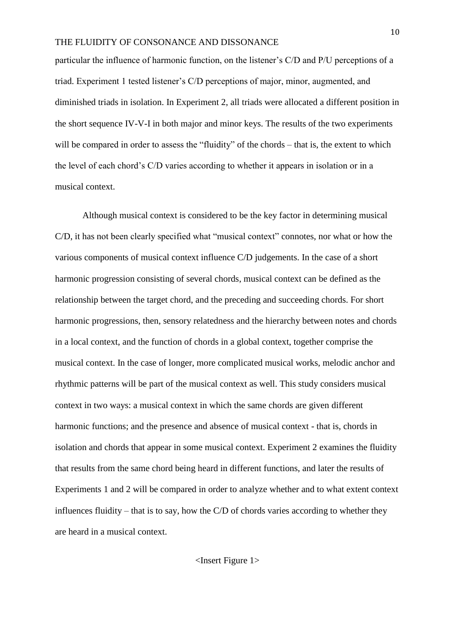particular the influence of harmonic function, on the listener's C/D and P/U perceptions of a triad. Experiment 1 tested listener's C/D perceptions of major, minor, augmented, and diminished triads in isolation. In Experiment 2, all triads were allocated a different position in the short sequence IV-V-I in both major and minor keys. The results of the two experiments will be compared in order to assess the "fluidity" of the chords – that is, the extent to which the level of each chord's C/D varies according to whether it appears in isolation or in a musical context.

Although musical context is considered to be the key factor in determining musical C/D, it has not been clearly specified what "musical context" connotes, nor what or how the various components of musical context influence C/D judgements. In the case of a short harmonic progression consisting of several chords, musical context can be defined as the relationship between the target chord, and the preceding and succeeding chords. For short harmonic progressions, then, sensory relatedness and the hierarchy between notes and chords in a local context, and the function of chords in a global context, together comprise the musical context. In the case of longer, more complicated musical works, melodic anchor and rhythmic patterns will be part of the musical context as well. This study considers musical context in two ways: a musical context in which the same chords are given different harmonic functions; and the presence and absence of musical context - that is, chords in isolation and chords that appear in some musical context. Experiment 2 examines the fluidity that results from the same chord being heard in different functions, and later the results of Experiments 1 and 2 will be compared in order to analyze whether and to what extent context influences fluidity – that is to say, how the C/D of chords varies according to whether they are heard in a musical context.

<Insert Figure 1>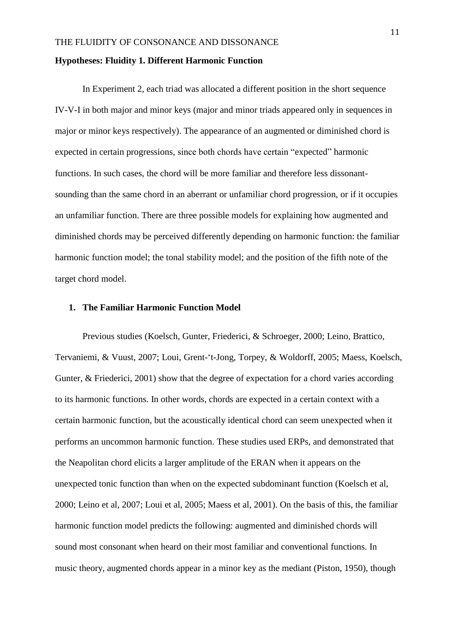#### **Hypotheses: Fluidity 1. Different Harmonic Function**

In Experiment 2, each triad was allocated a different position in the short sequence IV-V-I in both major and minor keys (major and minor triads appeared only in sequences in major or minor keys respectively). The appearance of an augmented or diminished chord is expected in certain progressions, since both chords have certain "expected" harmonic functions. In such cases, the chord will be more familiar and therefore less dissonantsounding than the same chord in an aberrant or unfamiliar chord progression, or if it occupies an unfamiliar function. There are three possible models for explaining how augmented and diminished chords may be perceived differently depending on harmonic function: the familiar harmonic function model; the tonal stability model; and the position of the fifth note of the target chord model.

#### **1. The Familiar Harmonic Function Model**

Previous studies (Koelsch, Gunter, Friederici, & Schroeger, 2000; Leino, Brattico, Tervaniemi, & Vuust, 2007; Loui, Grent-'t-Jong, Torpey, & Woldorff, 2005; Maess, Koelsch, Gunter, & Friederici, 2001) show that the degree of expectation for a chord varies according to its harmonic functions. In other words, chords are expected in a certain context with a certain harmonic function, but the acoustically identical chord can seem unexpected when it performs an uncommon harmonic function. These studies used ERPs, and demonstrated that the Neapolitan chord elicits a larger amplitude of the ERAN when it appears on the unexpected tonic function than when on the expected subdominant function (Koelsch et al, 2000; Leino et al, 2007; Loui et al, 2005; Maess et al, 2001). On the basis of this, the familiar harmonic function model predicts the following: augmented and diminished chords will sound most consonant when heard on their most familiar and conventional functions. In music theory, augmented chords appear in a minor key as the mediant (Piston, 1950), though

11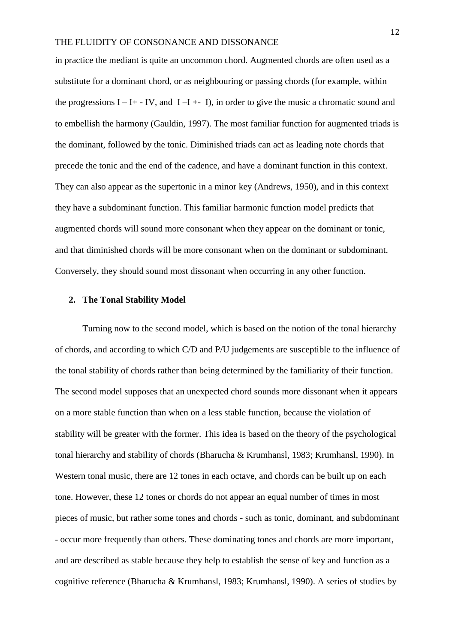in practice the mediant is quite an uncommon chord. Augmented chords are often used as a substitute for a dominant chord, or as neighbouring or passing chords (for example, within the progressions  $I - I + - IV$ , and  $I - I + - I$ ), in order to give the music a chromatic sound and to embellish the harmony (Gauldin, 1997). The most familiar function for augmented triads is the dominant, followed by the tonic. Diminished triads can act as leading note chords that precede the tonic and the end of the cadence, and have a dominant function in this context. They can also appear as the supertonic in a minor key (Andrews, 1950), and in this context they have a subdominant function. This familiar harmonic function model predicts that augmented chords will sound more consonant when they appear on the dominant or tonic, and that diminished chords will be more consonant when on the dominant or subdominant. Conversely, they should sound most dissonant when occurring in any other function.

#### **2. The Tonal Stability Model**

Turning now to the second model, which is based on the notion of the tonal hierarchy of chords, and according to which C/D and P/U judgements are susceptible to the influence of the tonal stability of chords rather than being determined by the familiarity of their function. The second model supposes that an unexpected chord sounds more dissonant when it appears on a more stable function than when on a less stable function, because the violation of stability will be greater with the former. This idea is based on the theory of the psychological tonal hierarchy and stability of chords (Bharucha & Krumhansl, 1983; Krumhansl, 1990). In Western tonal music, there are 12 tones in each octave, and chords can be built up on each tone. However, these 12 tones or chords do not appear an equal number of times in most pieces of music, but rather some tones and chords - such as tonic, dominant, and subdominant - occur more frequently than others. These dominating tones and chords are more important, and are described as stable because they help to establish the sense of key and function as a cognitive reference (Bharucha & Krumhansl, 1983; Krumhansl, 1990). A series of studies by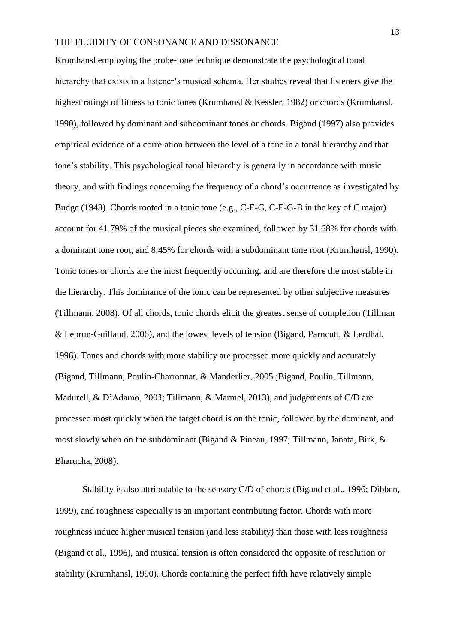Krumhansl employing the probe-tone technique demonstrate the psychological tonal hierarchy that exists in a listener's musical schema. Her studies reveal that listeners give the highest ratings of fitness to tonic tones (Krumhansl & Kessler, 1982) or chords (Krumhansl, 1990), followed by dominant and subdominant tones or chords. Bigand (1997) also provides empirical evidence of a correlation between the level of a tone in a tonal hierarchy and that tone's stability. This psychological tonal hierarchy is generally in accordance with music theory, and with findings concerning the frequency of a chord's occurrence as investigated by Budge (1943). Chords rooted in a tonic tone (e.g., C-E-G, C-E-G-B in the key of C major) account for 41.79% of the musical pieces she examined, followed by 31.68% for chords with a dominant tone root, and 8.45% for chords with a subdominant tone root (Krumhansl, 1990). Tonic tones or chords are the most frequently occurring, and are therefore the most stable in the hierarchy. This dominance of the tonic can be represented by other subjective measures (Tillmann, 2008). Of all chords, tonic chords elicit the greatest sense of completion (Tillman & Lebrun-Guillaud, 2006), and the lowest levels of tension (Bigand, Parncutt, & Lerdhal, 1996). Tones and chords with more stability are processed more quickly and accurately (Bigand, Tillmann, Poulin-Charronnat, & Manderlier, 2005 ;Bigand, Poulin, Tillmann, Madurell, & D'Adamo, 2003; Tillmann, & Marmel, 2013), and judgements of C/D are processed most quickly when the target chord is on the tonic, followed by the dominant, and most slowly when on the subdominant (Bigand & Pineau, 1997; Tillmann, Janata, Birk, & Bharucha, 2008).

Stability is also attributable to the sensory C/D of chords (Bigand et al., 1996; Dibben, 1999), and roughness especially is an important contributing factor. Chords with more roughness induce higher musical tension (and less stability) than those with less roughness (Bigand et al., 1996), and musical tension is often considered the opposite of resolution or stability (Krumhansl, 1990). Chords containing the perfect fifth have relatively simple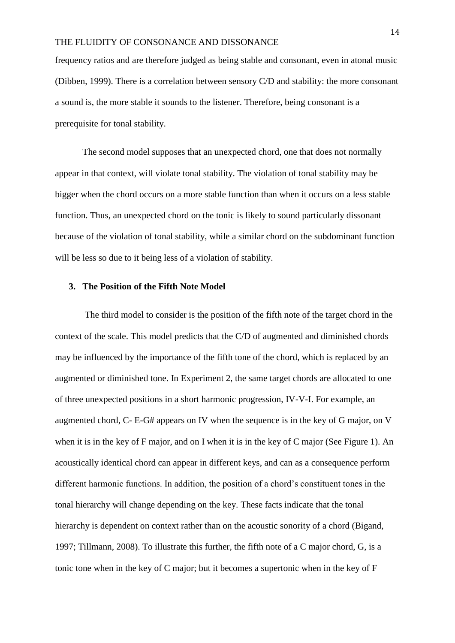frequency ratios and are therefore judged as being stable and consonant, even in atonal music (Dibben, 1999). There is a correlation between sensory C/D and stability: the more consonant a sound is, the more stable it sounds to the listener. Therefore, being consonant is a prerequisite for tonal stability.

The second model supposes that an unexpected chord, one that does not normally appear in that context, will violate tonal stability. The violation of tonal stability may be bigger when the chord occurs on a more stable function than when it occurs on a less stable function. Thus, an unexpected chord on the tonic is likely to sound particularly dissonant because of the violation of tonal stability, while a similar chord on the subdominant function will be less so due to it being less of a violation of stability.

#### **3. The Position of the Fifth Note Model**

The third model to consider is the position of the fifth note of the target chord in the context of the scale. This model predicts that the C/D of augmented and diminished chords may be influenced by the importance of the fifth tone of the chord, which is replaced by an augmented or diminished tone. In Experiment 2, the same target chords are allocated to one of three unexpected positions in a short harmonic progression, IV-V-I. For example, an augmented chord, C- E-G# appears on IV when the sequence is in the key of G major, on V when it is in the key of F major, and on I when it is in the key of C major (See Figure 1). An acoustically identical chord can appear in different keys, and can as a consequence perform different harmonic functions. In addition, the position of a chord's constituent tones in the tonal hierarchy will change depending on the key. These facts indicate that the tonal hierarchy is dependent on context rather than on the acoustic sonority of a chord (Bigand, 1997; Tillmann, 2008). To illustrate this further, the fifth note of a C major chord, G, is a tonic tone when in the key of C major; but it becomes a supertonic when in the key of F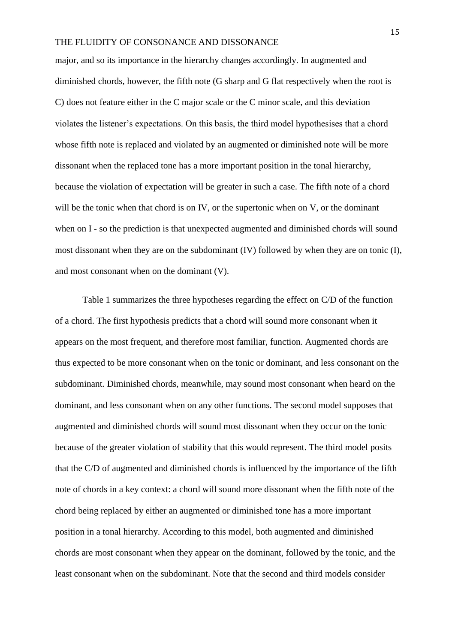major, and so its importance in the hierarchy changes accordingly. In augmented and diminished chords, however, the fifth note (G sharp and G flat respectively when the root is C) does not feature either in the C major scale or the C minor scale, and this deviation violates the listener's expectations. On this basis, the third model hypothesises that a chord whose fifth note is replaced and violated by an augmented or diminished note will be more dissonant when the replaced tone has a more important position in the tonal hierarchy, because the violation of expectation will be greater in such a case. The fifth note of a chord will be the tonic when that chord is on IV, or the supertonic when on V, or the dominant when on I - so the prediction is that unexpected augmented and diminished chords will sound most dissonant when they are on the subdominant (IV) followed by when they are on tonic (I), and most consonant when on the dominant (V).

Table 1 summarizes the three hypotheses regarding the effect on C/D of the function of a chord. The first hypothesis predicts that a chord will sound more consonant when it appears on the most frequent, and therefore most familiar, function. Augmented chords are thus expected to be more consonant when on the tonic or dominant, and less consonant on the subdominant. Diminished chords, meanwhile, may sound most consonant when heard on the dominant, and less consonant when on any other functions. The second model supposes that augmented and diminished chords will sound most dissonant when they occur on the tonic because of the greater violation of stability that this would represent. The third model posits that the C/D of augmented and diminished chords is influenced by the importance of the fifth note of chords in a key context: a chord will sound more dissonant when the fifth note of the chord being replaced by either an augmented or diminished tone has a more important position in a tonal hierarchy. According to this model, both augmented and diminished chords are most consonant when they appear on the dominant, followed by the tonic, and the least consonant when on the subdominant. Note that the second and third models consider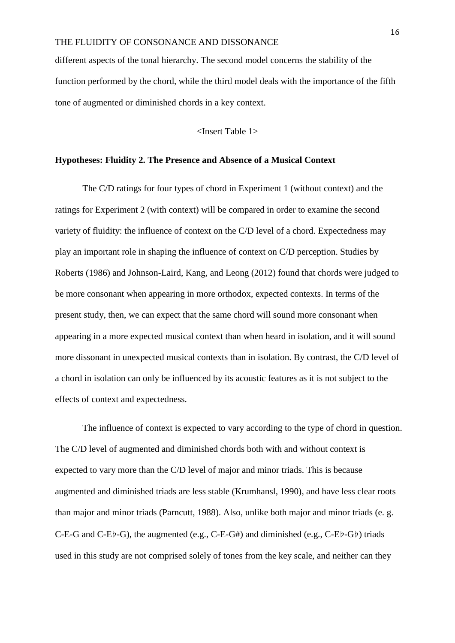different aspects of the tonal hierarchy. The second model concerns the stability of the function performed by the chord, while the third model deals with the importance of the fifth tone of augmented or diminished chords in a key context.

<Insert Table 1>

#### **Hypotheses: Fluidity 2. The Presence and Absence of a Musical Context**

The C/D ratings for four types of chord in Experiment 1 (without context) and the ratings for Experiment 2 (with context) will be compared in order to examine the second variety of fluidity: the influence of context on the C/D level of a chord. Expectedness may play an important role in shaping the influence of context on C/D perception. Studies by Roberts (1986) and Johnson-Laird, Kang, and Leong (2012) found that chords were judged to be more consonant when appearing in more orthodox, expected contexts. In terms of the present study, then, we can expect that the same chord will sound more consonant when appearing in a more expected musical context than when heard in isolation, and it will sound more dissonant in unexpected musical contexts than in isolation. By contrast, the C/D level of a chord in isolation can only be influenced by its acoustic features as it is not subject to the effects of context and expectedness.

The influence of context is expected to vary according to the type of chord in question. The C/D level of augmented and diminished chords both with and without context is expected to vary more than the C/D level of major and minor triads. This is because augmented and diminished triads are less stable (Krumhansl, 1990), and have less clear roots than major and minor triads (Parncutt, 1988). Also, unlike both major and minor triads (e. g. C-E-G and C-E♭-G), the augmented (e.g., C-E-G#) and diminished (e.g., C-E♭-G♭) triads used in this study are not comprised solely of tones from the key scale, and neither can they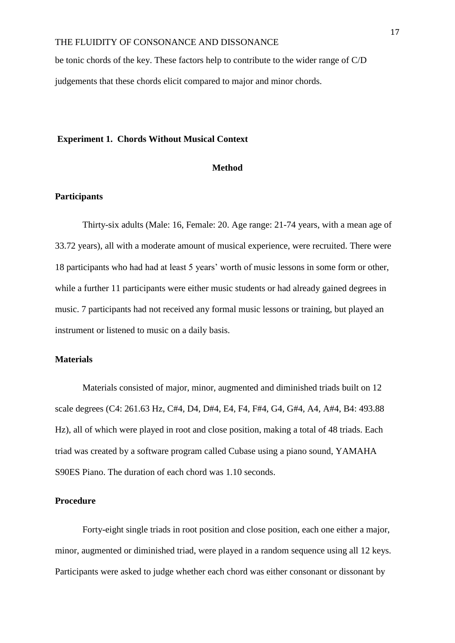be tonic chords of the key. These factors help to contribute to the wider range of C/D judgements that these chords elicit compared to major and minor chords.

#### **Experiment 1. Chords Without Musical Context**

#### **Method**

# **Participants**

Thirty-six adults (Male: 16, Female: 20. Age range: 21-74 years, with a mean age of 33.72 years), all with a moderate amount of musical experience, were recruited. There were 18 participants who had had at least 5 years' worth of music lessons in some form or other, while a further 11 participants were either music students or had already gained degrees in music. 7 participants had not received any formal music lessons or training, but played an instrument or listened to music on a daily basis.

# **Materials**

Materials consisted of major, minor, augmented and diminished triads built on 12 scale degrees (C4: 261.63 Hz, C#4, D4, D#4, E4, F4, F#4, G4, G#4, A4, A#4, B4: 493.88 Hz), all of which were played in root and close position, making a total of 48 triads. Each triad was created by a software program called Cubase using a piano sound, YAMAHA S90ES Piano. The duration of each chord was 1.10 seconds.

# **Procedure**

Forty-eight single triads in root position and close position, each one either a major, minor, augmented or diminished triad, were played in a random sequence using all 12 keys. Participants were asked to judge whether each chord was either consonant or dissonant by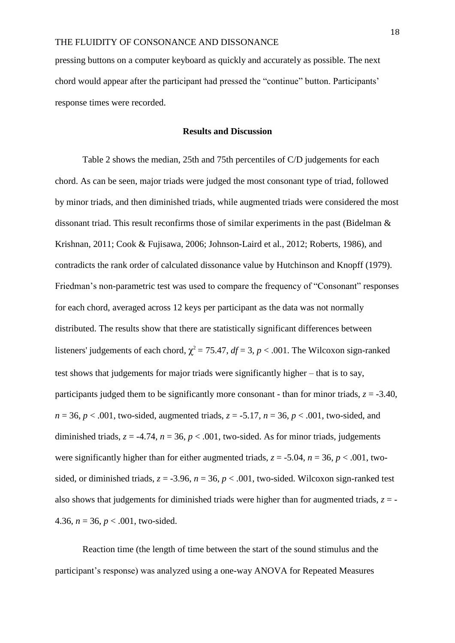pressing buttons on a computer keyboard as quickly and accurately as possible. The next chord would appear after the participant had pressed the "continue" button. Participants' response times were recorded.

# **Results and Discussion**

Table 2 shows the median, 25th and 75th percentiles of C/D judgements for each chord. As can be seen, major triads were judged the most consonant type of triad, followed by minor triads, and then diminished triads, while augmented triads were considered the most dissonant triad. This result reconfirms those of similar experiments in the past (Bidelman & Krishnan, 2011; Cook & Fujisawa, 2006; Johnson-Laird et al., 2012; Roberts, 1986), and contradicts the rank order of calculated dissonance value by Hutchinson and Knopff (1979). Friedman's non-parametric test was used to compare the frequency of "Consonant" responses for each chord, averaged across 12 keys per participant as the data was not normally distributed. The results show that there are statistically significant differences between listeners' judgements of each chord,  $\chi^2 = 75.47$ ,  $df = 3$ ,  $p < .001$ . The Wilcoxon sign-ranked test shows that judgements for major triads were significantly higher – that is to say, participants judged them to be significantly more consonant - than for minor triads,  $z = -3.40$ ,  $n = 36$ ,  $p < .001$ , two-sided, augmented triads,  $z = .5.17$ ,  $n = 36$ ,  $p < .001$ , two-sided, and diminished triads,  $z = -4.74$ ,  $n = 36$ ,  $p < .001$ , two-sided. As for minor triads, judgements were significantly higher than for either augmented triads,  $z = -5.04$ ,  $n = 36$ ,  $p < .001$ , twosided, or diminished triads,  $z = -3.96$ ,  $n = 36$ ,  $p < .001$ , two-sided. Wilcoxon sign-ranked test also shows that judgements for diminished triads were higher than for augmented triads,  $z = -$ 4.36,  $n = 36$ ,  $p < .001$ , two-sided.

Reaction time (the length of time between the start of the sound stimulus and the participant's response) was analyzed using a one-way ANOVA for Repeated Measures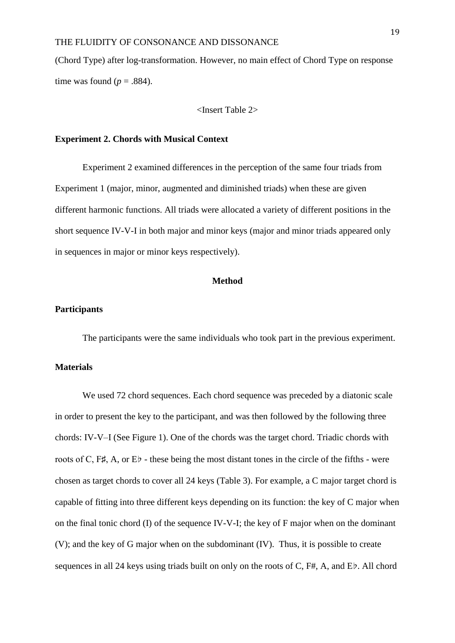(Chord Type) after log-transformation. However, no main effect of Chord Type on response time was found  $(p = .884)$ .

<Insert Table 2>

# **Experiment 2. Chords with Musical Context**

Experiment 2 examined differences in the perception of the same four triads from Experiment 1 (major, minor, augmented and diminished triads) when these are given different harmonic functions. All triads were allocated a variety of different positions in the short sequence IV-V-I in both major and minor keys (major and minor triads appeared only in sequences in major or minor keys respectively).

# **Method**

# **Participants**

The participants were the same individuals who took part in the previous experiment.

# **Materials**

We used 72 chord sequences. Each chord sequence was preceded by a diatonic scale in order to present the key to the participant, and was then followed by the following three chords: IV-V–I (See Figure 1). One of the chords was the target chord. Triadic chords with roots of C, F♯, A, or E♭ - these being the most distant tones in the circle of the fifths - were chosen as target chords to cover all 24 keys (Table 3). For example, a C major target chord is capable of fitting into three different keys depending on its function: the key of C major when on the final tonic chord (I) of the sequence IV-V-I; the key of F major when on the dominant (V); and the key of G major when on the subdominant (IV). Thus, it is possible to create sequences in all 24 keys using triads built on only on the roots of C, F#, A, and E♭. All chord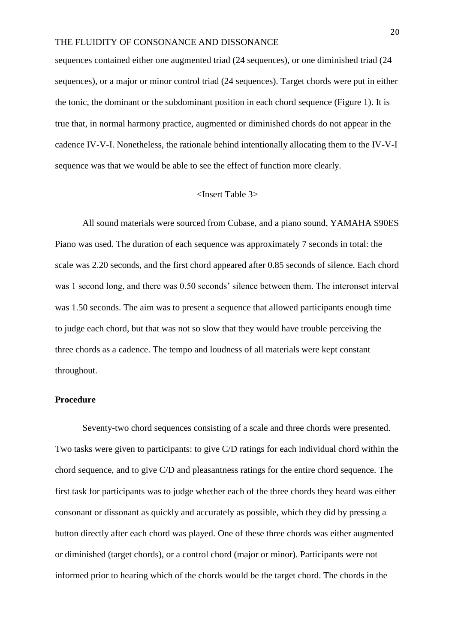sequences contained either one augmented triad (24 sequences), or one diminished triad (24 sequences), or a major or minor control triad (24 sequences). Target chords were put in either the tonic, the dominant or the subdominant position in each chord sequence (Figure 1). It is true that, in normal harmony practice, augmented or diminished chords do not appear in the cadence IV-V-I. Nonetheless, the rationale behind intentionally allocating them to the IV-V-I sequence was that we would be able to see the effect of function more clearly.

#### <Insert Table 3>

All sound materials were sourced from Cubase, and a piano sound, YAMAHA S90ES Piano was used. The duration of each sequence was approximately 7 seconds in total: the scale was 2.20 seconds, and the first chord appeared after 0.85 seconds of silence. Each chord was 1 second long, and there was 0.50 seconds' silence between them. The interonset interval was 1.50 seconds. The aim was to present a sequence that allowed participants enough time to judge each chord, but that was not so slow that they would have trouble perceiving the three chords as a cadence. The tempo and loudness of all materials were kept constant throughout.

# **Procedure**

Seventy-two chord sequences consisting of a scale and three chords were presented. Two tasks were given to participants: to give C/D ratings for each individual chord within the chord sequence, and to give C/D and pleasantness ratings for the entire chord sequence. The first task for participants was to judge whether each of the three chords they heard was either consonant or dissonant as quickly and accurately as possible, which they did by pressing a button directly after each chord was played. One of these three chords was either augmented or diminished (target chords), or a control chord (major or minor). Participants were not informed prior to hearing which of the chords would be the target chord. The chords in the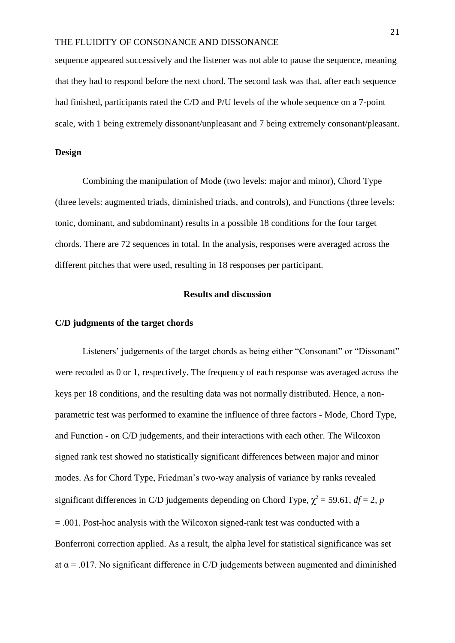sequence appeared successively and the listener was not able to pause the sequence, meaning that they had to respond before the next chord. The second task was that, after each sequence had finished, participants rated the C/D and P/U levels of the whole sequence on a 7-point scale, with 1 being extremely dissonant/unpleasant and 7 being extremely consonant/pleasant.

#### **Design**

Combining the manipulation of Mode (two levels: major and minor), Chord Type (three levels: augmented triads, diminished triads, and controls), and Functions (three levels: tonic, dominant, and subdominant) results in a possible 18 conditions for the four target chords. There are 72 sequences in total. In the analysis, responses were averaged across the different pitches that were used, resulting in 18 responses per participant.

#### **Results and discussion**

## **C/D judgments of the target chords**

Listeners' judgements of the target chords as being either "Consonant" or "Dissonant" were recoded as 0 or 1, respectively. The frequency of each response was averaged across the keys per 18 conditions, and the resulting data was not normally distributed. Hence, a nonparametric test was performed to examine the influence of three factors - Mode, Chord Type, and Function - on C/D judgements, and their interactions with each other. The Wilcoxon signed rank test showed no statistically significant differences between major and minor modes. As for Chord Type, Friedman's two-way analysis of variance by ranks revealed significant differences in C/D judgements depending on Chord Type,  $\chi^2$  = 59.61, *df* = 2, *p*  $= .001$ . Post-hoc analysis with the Wilcoxon signed-rank test was conducted with a Bonferroni correction applied. As a result, the alpha level for statistical significance was set at  $\alpha$  = .017. No significant difference in C/D judgements between augmented and diminished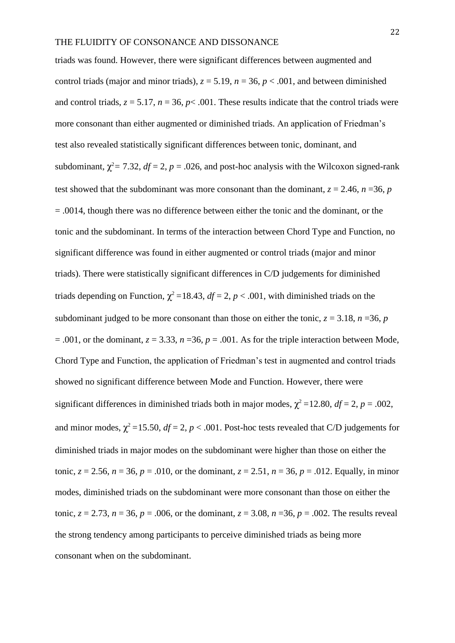triads was found. However, there were significant differences between augmented and control triads (major and minor triads),  $z = 5.19$ ,  $n = 36$ ,  $p < .001$ , and between diminished and control triads,  $z = 5.17$ ,  $n = 36$ ,  $p < .001$ . These results indicate that the control triads were more consonant than either augmented or diminished triads. An application of Friedman's test also revealed statistically significant differences between tonic, dominant, and subdominant,  $\chi^2$  = 7.32,  $df$  = 2,  $p$  = .026, and post-hoc analysis with the Wilcoxon signed-rank test showed that the subdominant was more consonant than the dominant,  $z = 2.46$ ,  $n = 36$ ,  $p = 36$ = .0014, though there was no difference between either the tonic and the dominant, or the tonic and the subdominant. In terms of the interaction between Chord Type and Function, no significant difference was found in either augmented or control triads (major and minor triads). There were statistically significant differences in C/D judgements for diminished triads depending on Function,  $\chi^2$  = 18.43,  $df$  = 2,  $p$  < .001, with diminished triads on the subdominant judged to be more consonant than those on either the tonic,  $z = 3.18$ ,  $n = 36$ , *p*  $= .001$ , or the dominant,  $z = 3.33$ ,  $n = 36$ ,  $p = .001$ . As for the triple interaction between Mode, Chord Type and Function, the application of Friedman's test in augmented and control triads showed no significant difference between Mode and Function. However, there were significant differences in diminished triads both in major modes,  $\chi^2$  = 12.80,  $df = 2$ ,  $p = .002$ , and minor modes,  $\chi^2$  = 15.50,  $df = 2$ ,  $p < .001$ . Post-hoc tests revealed that C/D judgements for diminished triads in major modes on the subdominant were higher than those on either the tonic,  $z = 2.56$ ,  $n = 36$ ,  $p = .010$ , or the dominant,  $z = 2.51$ ,  $n = 36$ ,  $p = .012$ . Equally, in minor modes, diminished triads on the subdominant were more consonant than those on either the tonic,  $z = 2.73$ ,  $n = 36$ ,  $p = .006$ , or the dominant,  $z = 3.08$ ,  $n = 36$ ,  $p = .002$ . The results reveal the strong tendency among participants to perceive diminished triads as being more consonant when on the subdominant.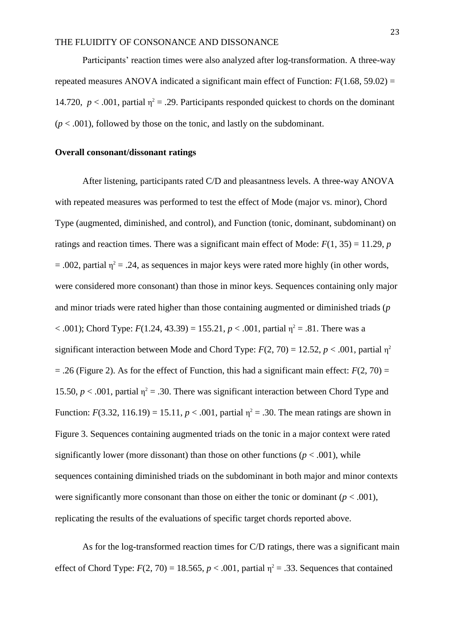Participants' reaction times were also analyzed after log-transformation. A three-way repeated measures ANOVA indicated a significant main effect of Function: *F*(1.68, 59.02) = 14.720,  $p < .001$ , partial  $\eta^2 = .29$ . Participants responded quickest to chords on the dominant  $(p < .001)$ , followed by those on the tonic, and lastly on the subdominant.

#### **Overall consonant/dissonant ratings**

After listening, participants rated C/D and pleasantness levels. A three-way ANOVA with repeated measures was performed to test the effect of Mode (major vs. minor), Chord Type (augmented, diminished, and control), and Function (tonic, dominant, subdominant) on ratings and reaction times. There was a significant main effect of Mode:  $F(1, 35) = 11.29$ , *p*  $= .002$ , partial  $\eta^2 = .24$ , as sequences in major keys were rated more highly (in other words, were considered more consonant) than those in minor keys. Sequences containing only major and minor triads were rated higher than those containing augmented or diminished triads (*p*   $< .001$ ); Chord Type:  $F(1.24, 43.39) = 155.21, p < .001$ , partial  $\eta^2 = .81$ . There was a significant interaction between Mode and Chord Type:  $F(2, 70) = 12.52$ ,  $p < .001$ , partial  $\eta^2$  $=$  .26 (Figure 2). As for the effect of Function, this had a significant main effect:  $F(2, 70) =$ 15.50,  $p < .001$ , partial  $\eta^2 = .30$ . There was significant interaction between Chord Type and Function:  $F(3.32, 116.19) = 15.11, p < .001$ , partial  $\eta^2 = .30$ . The mean ratings are shown in Figure 3. Sequences containing augmented triads on the tonic in a major context were rated significantly lower (more dissonant) than those on other functions ( $p < .001$ ), while sequences containing diminished triads on the subdominant in both major and minor contexts were significantly more consonant than those on either the tonic or dominant ( $p < .001$ ), replicating the results of the evaluations of specific target chords reported above.

As for the log-transformed reaction times for C/D ratings, there was a significant main effect of Chord Type:  $F(2, 70) = 18.565$ ,  $p < .001$ , partial  $\eta^2 = .33$ . Sequences that contained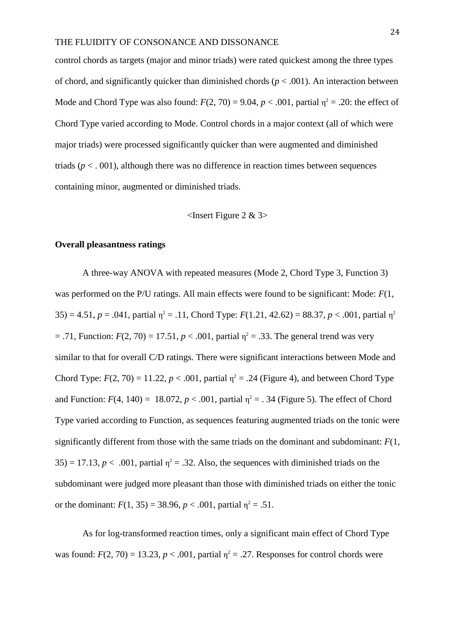control chords as targets (major and minor triads) were rated quickest among the three types of chord, and significantly quicker than diminished chords (*p* < .001). An interaction between Mode and Chord Type was also found:  $F(2, 70) = 9.04$ ,  $p < .001$ , partial  $\eta^2 = .20$ : the effect of Chord Type varied according to Mode. Control chords in a major context (all of which were major triads) were processed significantly quicker than were augmented and diminished triads  $(p < .001)$ , although there was no difference in reaction times between sequences containing minor, augmented or diminished triads.

#### <Insert Figure 2 & 3>

#### **Overall pleasantness ratings**

A three-way ANOVA with repeated measures (Mode 2, Chord Type 3, Function 3) was performed on the P/U ratings. All main effects were found to be significant: Mode: *F*(1, 35) = 4.51,  $p = .041$ , partial  $\eta^2 = .11$ , Chord Type:  $F(1.21, 42.62) = 88.37$ ,  $p < .001$ , partial  $\eta^2$  $= .71$ , Function:  $F(2, 70) = 17.51$ ,  $p < .001$ , partial  $\eta^2 = .33$ . The general trend was very similar to that for overall C/D ratings. There were significant interactions between Mode and Chord Type:  $F(2, 70) = 11.22$ ,  $p < .001$ , partial  $\eta^2 = .24$  (Figure 4), and between Chord Type and Function:  $F(4, 140) = 18.072$ ,  $p < .001$ , partial  $\eta^2 = .34$  (Figure 5). The effect of Chord Type varied according to Function, as sequences featuring augmented triads on the tonic were significantly different from those with the same triads on the dominant and subdominant:  $F(1, 1)$  $35$ ) = 17.13,  $p < .001$ , partial  $\eta^2 = .32$ . Also, the sequences with diminished triads on the subdominant were judged more pleasant than those with diminished triads on either the tonic or the dominant:  $F(1, 35) = 38.96$ ,  $p < .001$ , partial  $\eta^2 = .51$ .

As for log-transformed reaction times, only a significant main effect of Chord Type was found:  $F(2, 70) = 13.23$ ,  $p < .001$ , partial  $\eta^2 = .27$ . Responses for control chords were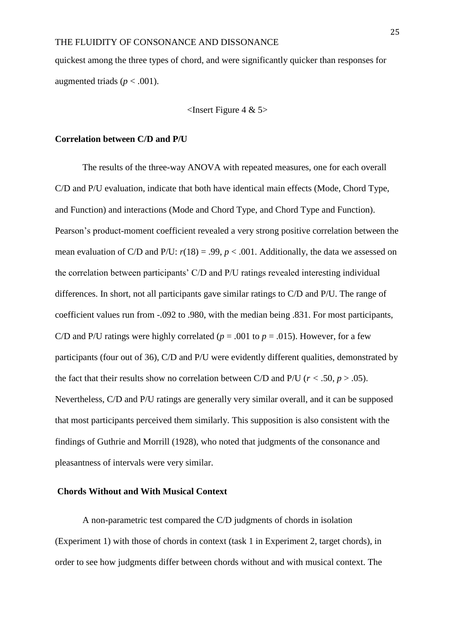quickest among the three types of chord, and were significantly quicker than responses for augmented triads ( $p < .001$ ).

 $\leq$ Insert Figure 4 & 5>

#### **Correlation between C/D and P/U**

The results of the three-way ANOVA with repeated measures, one for each overall C/D and P/U evaluation, indicate that both have identical main effects (Mode, Chord Type, and Function) and interactions (Mode and Chord Type, and Chord Type and Function). Pearson's product-moment coefficient revealed a very strong positive correlation between the mean evaluation of C/D and P/U:  $r(18) = .99$ ,  $p < .001$ . Additionally, the data we assessed on the correlation between participants' C/D and P/U ratings revealed interesting individual differences. In short, not all participants gave similar ratings to C/D and P/U. The range of coefficient values run from -.092 to .980, with the median being .831. For most participants, C/D and P/U ratings were highly correlated ( $p = .001$  to  $p = .015$ ). However, for a few participants (four out of 36), C/D and P/U were evidently different qualities, demonstrated by the fact that their results show no correlation between C/D and P/U ( $r < .50$ ,  $p > .05$ ). Nevertheless, C/D and P/U ratings are generally very similar overall, and it can be supposed that most participants perceived them similarly. This supposition is also consistent with the findings of Guthrie and Morrill (1928), who noted that judgments of the consonance and pleasantness of intervals were very similar.

## **Chords Without and With Musical Context**

A non-parametric test compared the C/D judgments of chords in isolation (Experiment 1) with those of chords in context (task 1 in Experiment 2, target chords), in order to see how judgments differ between chords without and with musical context. The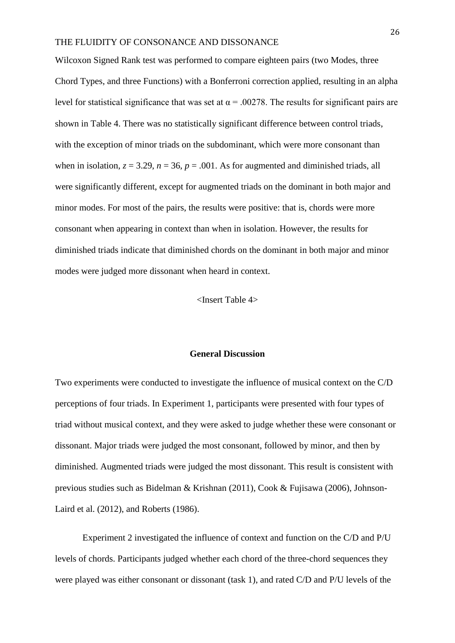Wilcoxon Signed Rank test was performed to compare eighteen pairs (two Modes, three Chord Types, and three Functions) with a Bonferroni correction applied, resulting in an alpha level for statistical significance that was set at  $α = .00278$ . The results for significant pairs are shown in Table 4. There was no statistically significant difference between control triads, with the exception of minor triads on the subdominant, which were more consonant than when in isolation,  $z = 3.29$ ,  $n = 36$ ,  $p = .001$ . As for augmented and diminished triads, all were significantly different, except for augmented triads on the dominant in both major and minor modes. For most of the pairs, the results were positive: that is, chords were more consonant when appearing in context than when in isolation. However, the results for diminished triads indicate that diminished chords on the dominant in both major and minor modes were judged more dissonant when heard in context.

# <Insert Table 4>

#### **General Discussion**

Two experiments were conducted to investigate the influence of musical context on the C/D perceptions of four triads. In Experiment 1, participants were presented with four types of triad without musical context, and they were asked to judge whether these were consonant or dissonant. Major triads were judged the most consonant, followed by minor, and then by diminished. Augmented triads were judged the most dissonant. This result is consistent with previous studies such as Bidelman & Krishnan (2011), Cook & Fujisawa (2006), Johnson-Laird et al. (2012), and Roberts (1986).

Experiment 2 investigated the influence of context and function on the C/D and P/U levels of chords. Participants judged whether each chord of the three-chord sequences they were played was either consonant or dissonant (task 1), and rated C/D and P/U levels of the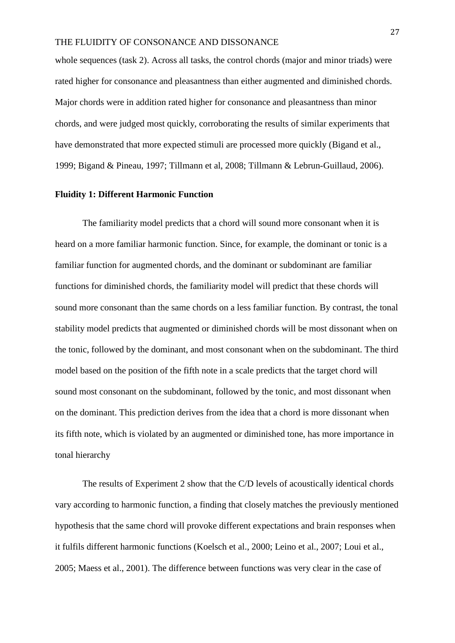whole sequences (task 2). Across all tasks, the control chords (major and minor triads) were rated higher for consonance and pleasantness than either augmented and diminished chords. Major chords were in addition rated higher for consonance and pleasantness than minor chords, and were judged most quickly, corroborating the results of similar experiments that have demonstrated that more expected stimuli are processed more quickly (Bigand et al., 1999; Bigand & Pineau, 1997; Tillmann et al, 2008; Tillmann & Lebrun-Guillaud, 2006).

#### **Fluidity 1: Different Harmonic Function**

The familiarity model predicts that a chord will sound more consonant when it is heard on a more familiar harmonic function. Since, for example, the dominant or tonic is a familiar function for augmented chords, and the dominant or subdominant are familiar functions for diminished chords, the familiarity model will predict that these chords will sound more consonant than the same chords on a less familiar function. By contrast, the tonal stability model predicts that augmented or diminished chords will be most dissonant when on the tonic, followed by the dominant, and most consonant when on the subdominant. The third model based on the position of the fifth note in a scale predicts that the target chord will sound most consonant on the subdominant, followed by the tonic, and most dissonant when on the dominant. This prediction derives from the idea that a chord is more dissonant when its fifth note, which is violated by an augmented or diminished tone, has more importance in tonal hierarchy

The results of Experiment 2 show that the C/D levels of acoustically identical chords vary according to harmonic function, a finding that closely matches the previously mentioned hypothesis that the same chord will provoke different expectations and brain responses when it fulfils different harmonic functions (Koelsch et al., 2000; Leino et al., 2007; Loui et al., 2005; Maess et al., 2001). The difference between functions was very clear in the case of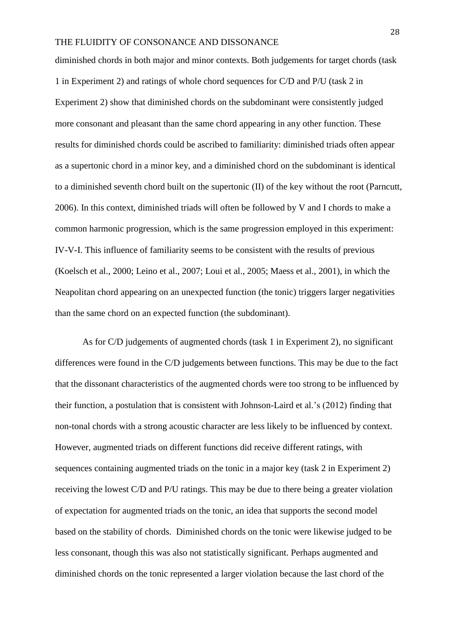diminished chords in both major and minor contexts. Both judgements for target chords (task 1 in Experiment 2) and ratings of whole chord sequences for C/D and P/U (task 2 in Experiment 2) show that diminished chords on the subdominant were consistently judged more consonant and pleasant than the same chord appearing in any other function. These results for diminished chords could be ascribed to familiarity: diminished triads often appear as a supertonic chord in a minor key, and a diminished chord on the subdominant is identical to a diminished seventh chord built on the supertonic (II) of the key without the root (Parncutt, 2006). In this context, diminished triads will often be followed by V and I chords to make a common harmonic progression, which is the same progression employed in this experiment: IV-V-I. This influence of familiarity seems to be consistent with the results of previous (Koelsch et al., 2000; Leino et al., 2007; Loui et al., 2005; Maess et al., 2001), in which the Neapolitan chord appearing on an unexpected function (the tonic) triggers larger negativities than the same chord on an expected function (the subdominant).

As for C/D judgements of augmented chords (task 1 in Experiment 2), no significant differences were found in the C/D judgements between functions. This may be due to the fact that the dissonant characteristics of the augmented chords were too strong to be influenced by their function, a postulation that is consistent with Johnson-Laird et al.'s (2012) finding that non-tonal chords with a strong acoustic character are less likely to be influenced by context. However, augmented triads on different functions did receive different ratings, with sequences containing augmented triads on the tonic in a major key (task 2 in Experiment 2) receiving the lowest C/D and P/U ratings. This may be due to there being a greater violation of expectation for augmented triads on the tonic, an idea that supports the second model based on the stability of chords. Diminished chords on the tonic were likewise judged to be less consonant, though this was also not statistically significant. Perhaps augmented and diminished chords on the tonic represented a larger violation because the last chord of the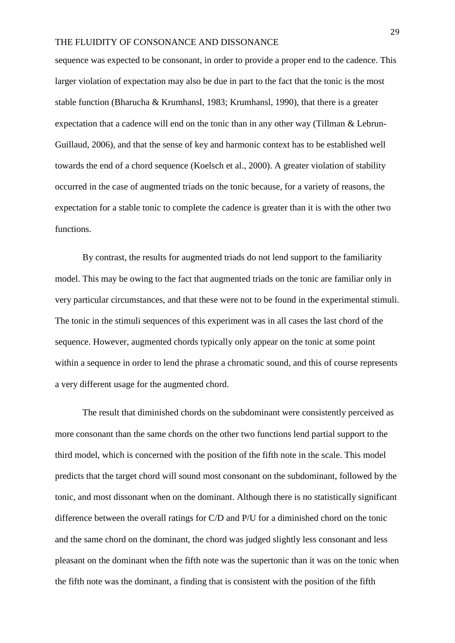sequence was expected to be consonant, in order to provide a proper end to the cadence. This larger violation of expectation may also be due in part to the fact that the tonic is the most stable function (Bharucha & Krumhansl, 1983; Krumhansl, 1990), that there is a greater expectation that a cadence will end on the tonic than in any other way (Tillman & Lebrun-Guillaud, 2006), and that the sense of key and harmonic context has to be established well towards the end of a chord sequence (Koelsch et al., 2000). A greater violation of stability occurred in the case of augmented triads on the tonic because, for a variety of reasons, the expectation for a stable tonic to complete the cadence is greater than it is with the other two functions.

By contrast, the results for augmented triads do not lend support to the familiarity model. This may be owing to the fact that augmented triads on the tonic are familiar only in very particular circumstances, and that these were not to be found in the experimental stimuli. The tonic in the stimuli sequences of this experiment was in all cases the last chord of the sequence. However, augmented chords typically only appear on the tonic at some point within a sequence in order to lend the phrase a chromatic sound, and this of course represents a very different usage for the augmented chord.

The result that diminished chords on the subdominant were consistently perceived as more consonant than the same chords on the other two functions lend partial support to the third model, which is concerned with the position of the fifth note in the scale. This model predicts that the target chord will sound most consonant on the subdominant, followed by the tonic, and most dissonant when on the dominant. Although there is no statistically significant difference between the overall ratings for C/D and P/U for a diminished chord on the tonic and the same chord on the dominant, the chord was judged slightly less consonant and less pleasant on the dominant when the fifth note was the supertonic than it was on the tonic when the fifth note was the dominant, a finding that is consistent with the position of the fifth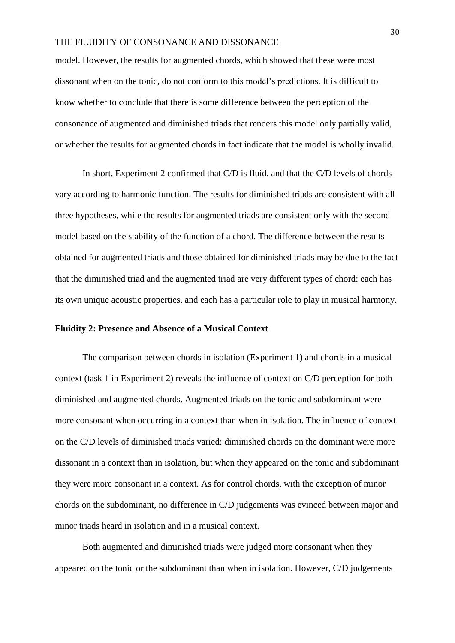model. However, the results for augmented chords, which showed that these were most dissonant when on the tonic, do not conform to this model's predictions. It is difficult to know whether to conclude that there is some difference between the perception of the consonance of augmented and diminished triads that renders this model only partially valid, or whether the results for augmented chords in fact indicate that the model is wholly invalid.

In short, Experiment 2 confirmed that C/D is fluid, and that the C/D levels of chords vary according to harmonic function. The results for diminished triads are consistent with all three hypotheses, while the results for augmented triads are consistent only with the second model based on the stability of the function of a chord. The difference between the results obtained for augmented triads and those obtained for diminished triads may be due to the fact that the diminished triad and the augmented triad are very different types of chord: each has its own unique acoustic properties, and each has a particular role to play in musical harmony.

#### **Fluidity 2: Presence and Absence of a Musical Context**

The comparison between chords in isolation (Experiment 1) and chords in a musical context (task 1 in Experiment 2) reveals the influence of context on C/D perception for both diminished and augmented chords. Augmented triads on the tonic and subdominant were more consonant when occurring in a context than when in isolation. The influence of context on the C/D levels of diminished triads varied: diminished chords on the dominant were more dissonant in a context than in isolation, but when they appeared on the tonic and subdominant they were more consonant in a context. As for control chords, with the exception of minor chords on the subdominant, no difference in C/D judgements was evinced between major and minor triads heard in isolation and in a musical context.

Both augmented and diminished triads were judged more consonant when they appeared on the tonic or the subdominant than when in isolation. However, C/D judgements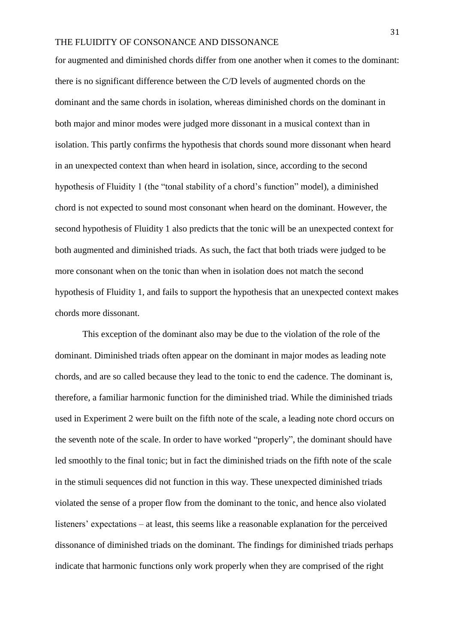for augmented and diminished chords differ from one another when it comes to the dominant: there is no significant difference between the C/D levels of augmented chords on the dominant and the same chords in isolation, whereas diminished chords on the dominant in both major and minor modes were judged more dissonant in a musical context than in isolation. This partly confirms the hypothesis that chords sound more dissonant when heard in an unexpected context than when heard in isolation, since, according to the second hypothesis of Fluidity 1 (the "tonal stability of a chord's function" model), a diminished chord is not expected to sound most consonant when heard on the dominant. However, the second hypothesis of Fluidity 1 also predicts that the tonic will be an unexpected context for both augmented and diminished triads. As such, the fact that both triads were judged to be more consonant when on the tonic than when in isolation does not match the second hypothesis of Fluidity 1, and fails to support the hypothesis that an unexpected context makes chords more dissonant.

This exception of the dominant also may be due to the violation of the role of the dominant. Diminished triads often appear on the dominant in major modes as leading note chords, and are so called because they lead to the tonic to end the cadence. The dominant is, therefore, a familiar harmonic function for the diminished triad. While the diminished triads used in Experiment 2 were built on the fifth note of the scale, a leading note chord occurs on the seventh note of the scale. In order to have worked "properly", the dominant should have led smoothly to the final tonic; but in fact the diminished triads on the fifth note of the scale in the stimuli sequences did not function in this way. These unexpected diminished triads violated the sense of a proper flow from the dominant to the tonic, and hence also violated listeners' expectations – at least, this seems like a reasonable explanation for the perceived dissonance of diminished triads on the dominant. The findings for diminished triads perhaps indicate that harmonic functions only work properly when they are comprised of the right

31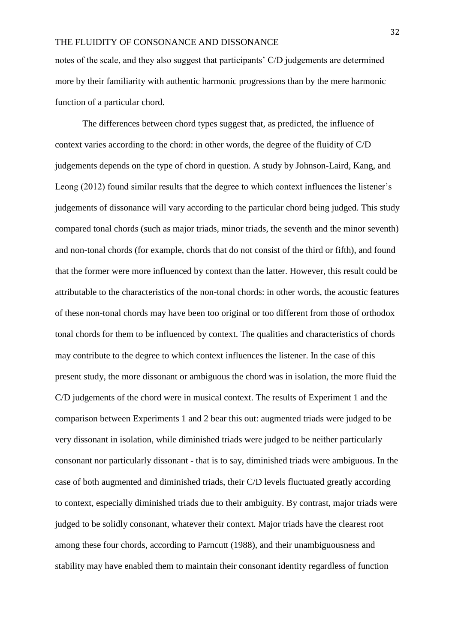notes of the scale, and they also suggest that participants' C/D judgements are determined more by their familiarity with authentic harmonic progressions than by the mere harmonic function of a particular chord.

The differences between chord types suggest that, as predicted, the influence of context varies according to the chord: in other words, the degree of the fluidity of C/D judgements depends on the type of chord in question. A study by Johnson-Laird, Kang, and Leong (2012) found similar results that the degree to which context influences the listener's judgements of dissonance will vary according to the particular chord being judged. This study compared tonal chords (such as major triads, minor triads, the seventh and the minor seventh) and non-tonal chords (for example, chords that do not consist of the third or fifth), and found that the former were more influenced by context than the latter. However, this result could be attributable to the characteristics of the non-tonal chords: in other words, the acoustic features of these non-tonal chords may have been too original or too different from those of orthodox tonal chords for them to be influenced by context. The qualities and characteristics of chords may contribute to the degree to which context influences the listener. In the case of this present study, the more dissonant or ambiguous the chord was in isolation, the more fluid the C/D judgements of the chord were in musical context. The results of Experiment 1 and the comparison between Experiments 1 and 2 bear this out: augmented triads were judged to be very dissonant in isolation, while diminished triads were judged to be neither particularly consonant nor particularly dissonant - that is to say, diminished triads were ambiguous. In the case of both augmented and diminished triads, their C/D levels fluctuated greatly according to context, especially diminished triads due to their ambiguity. By contrast, major triads were judged to be solidly consonant, whatever their context. Major triads have the clearest root among these four chords, according to Parncutt (1988), and their unambiguousness and stability may have enabled them to maintain their consonant identity regardless of function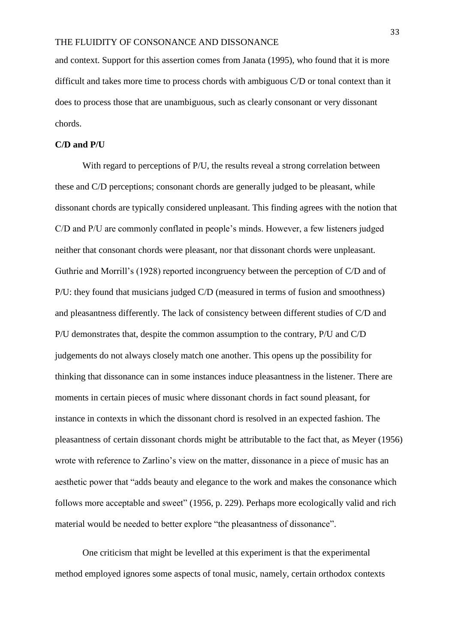and context. Support for this assertion comes from Janata (1995), who found that it is more difficult and takes more time to process chords with ambiguous C/D or tonal context than it does to process those that are unambiguous, such as clearly consonant or very dissonant chords.

#### **C/D and P/U**

With regard to perceptions of P/U, the results reveal a strong correlation between these and C/D perceptions; consonant chords are generally judged to be pleasant, while dissonant chords are typically considered unpleasant. This finding agrees with the notion that C/D and P/U are commonly conflated in people's minds. However, a few listeners judged neither that consonant chords were pleasant, nor that dissonant chords were unpleasant. Guthrie and Morrill's (1928) reported incongruency between the perception of C/D and of P/U: they found that musicians judged C/D (measured in terms of fusion and smoothness) and pleasantness differently. The lack of consistency between different studies of C/D and P/U demonstrates that, despite the common assumption to the contrary, P/U and C/D judgements do not always closely match one another. This opens up the possibility for thinking that dissonance can in some instances induce pleasantness in the listener. There are moments in certain pieces of music where dissonant chords in fact sound pleasant, for instance in contexts in which the dissonant chord is resolved in an expected fashion. The pleasantness of certain dissonant chords might be attributable to the fact that, as Meyer (1956) wrote with reference to Zarlino's view on the matter, dissonance in a piece of music has an aesthetic power that "adds beauty and elegance to the work and makes the consonance which follows more acceptable and sweet" (1956, p. 229). Perhaps more ecologically valid and rich material would be needed to better explore "the pleasantness of dissonance".

One criticism that might be levelled at this experiment is that the experimental method employed ignores some aspects of tonal music, namely, certain orthodox contexts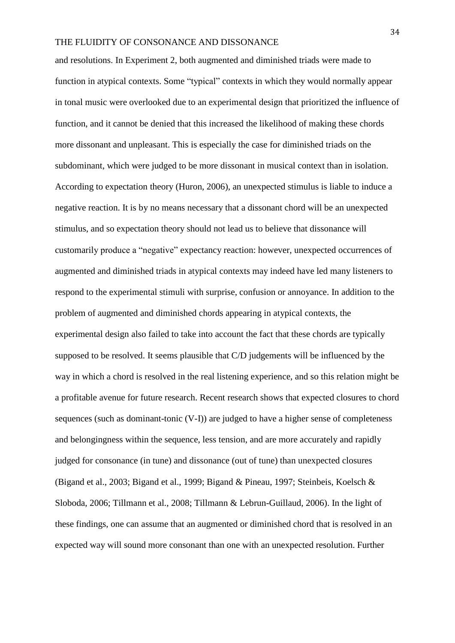and resolutions. In Experiment 2, both augmented and diminished triads were made to function in atypical contexts. Some "typical" contexts in which they would normally appear in tonal music were overlooked due to an experimental design that prioritized the influence of function, and it cannot be denied that this increased the likelihood of making these chords more dissonant and unpleasant. This is especially the case for diminished triads on the subdominant, which were judged to be more dissonant in musical context than in isolation. According to expectation theory (Huron, 2006), an unexpected stimulus is liable to induce a negative reaction. It is by no means necessary that a dissonant chord will be an unexpected stimulus, and so expectation theory should not lead us to believe that dissonance will customarily produce a "negative" expectancy reaction: however, unexpected occurrences of augmented and diminished triads in atypical contexts may indeed have led many listeners to respond to the experimental stimuli with surprise, confusion or annoyance. In addition to the problem of augmented and diminished chords appearing in atypical contexts, the experimental design also failed to take into account the fact that these chords are typically supposed to be resolved. It seems plausible that C/D judgements will be influenced by the way in which a chord is resolved in the real listening experience, and so this relation might be a profitable avenue for future research. Recent research shows that expected closures to chord sequences (such as dominant-tonic (V-I)) are judged to have a higher sense of completeness and belongingness within the sequence, less tension, and are more accurately and rapidly judged for consonance (in tune) and dissonance (out of tune) than unexpected closures (Bigand et al., 2003; Bigand et al., 1999; Bigand & Pineau, 1997; Steinbeis, Koelsch & Sloboda, 2006; Tillmann et al., 2008; Tillmann & Lebrun-Guillaud, 2006). In the light of these findings, one can assume that an augmented or diminished chord that is resolved in an expected way will sound more consonant than one with an unexpected resolution. Further

34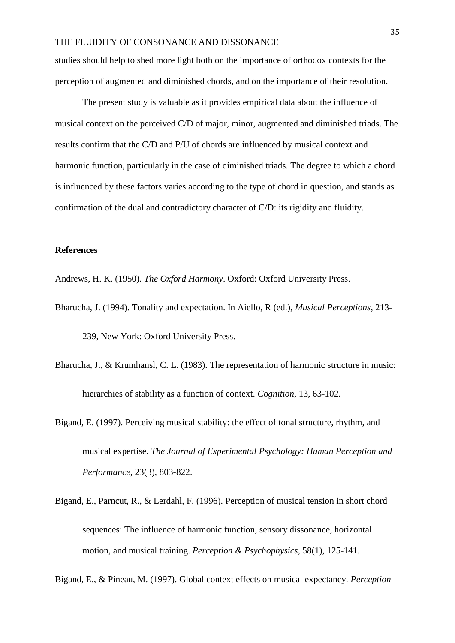studies should help to shed more light both on the importance of orthodox contexts for the perception of augmented and diminished chords, and on the importance of their resolution.

The present study is valuable as it provides empirical data about the influence of musical context on the perceived C/D of major, minor, augmented and diminished triads. The results confirm that the C/D and P/U of chords are influenced by musical context and harmonic function, particularly in the case of diminished triads. The degree to which a chord is influenced by these factors varies according to the type of chord in question, and stands as confirmation of the dual and contradictory character of C/D: its rigidity and fluidity.

#### **References**

Andrews, H. K. (1950). *The Oxford Harmony*. Oxford: Oxford University Press.

- Bharucha, J. (1994). Tonality and expectation. In Aiello, R (ed.), *Musical Perceptions*, 213- 239, New York: Oxford University Press.
- Bharucha, J., & Krumhansl, C. L. (1983). The representation of harmonic structure in music: hierarchies of stability as a function of context. *Cognition*, 13, 63-102.
- Bigand, E. (1997). Perceiving musical stability: the effect of tonal structure, rhythm, and musical expertise. *The Journal of Experimental Psychology: Human Perception and Performance*, 23(3), 803-822.
- Bigand, E., Parncut, R., & Lerdahl, F. (1996). Perception of musical tension in short chord sequences: The influence of harmonic function, sensory dissonance, horizontal motion, and musical training. *Perception & Psychophysics,* 58(1), 125-141.

Bigand, E., & Pineau, M. (1997). Global context effects on musical expectancy. *Perception*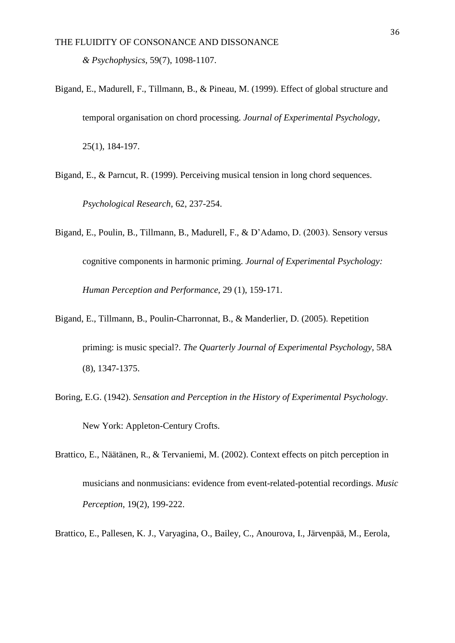- Bigand, E., Madurell, F., Tillmann, B., & Pineau, M. (1999). Effect of global structure and temporal organisation on chord processing. *Journal of Experimental Psychology*, 25(1), 184-197.
- Bigand, E., & Parncut, R. (1999). Perceiving musical tension in long chord sequences. *Psychological Research*, 62, 237-254.
- Bigand, E., Poulin, B., Tillmann, B., Madurell, F., & D'Adamo, D. (2003). Sensory versus cognitive components in harmonic priming. *Journal of Experimental Psychology: Human Perception and Performance*, 29 (1), 159-171.
- Bigand, E., Tillmann, B., Poulin-Charronnat, B., & Manderlier, D. (2005). Repetition priming: is music special?. *The Quarterly Journal of Experimental Psychology*, 58A (8), 1347-1375.
- Boring, E.G. (1942). *Sensation and Perception in the History of Experimental Psychology*. New York: Appleton-Century Crofts.
- Brattico, E., Näätänen, R., & Tervaniemi, M. (2002). Context effects on pitch perception in musicians and nonmusicians: evidence from event-related-potential recordings. *Music Perception*, 19(2), 199-222.
- Brattico, E., Pallesen, K. J., Varyagina, O., Bailey, C., Anourova, I., Järvenpää, M., Eerola,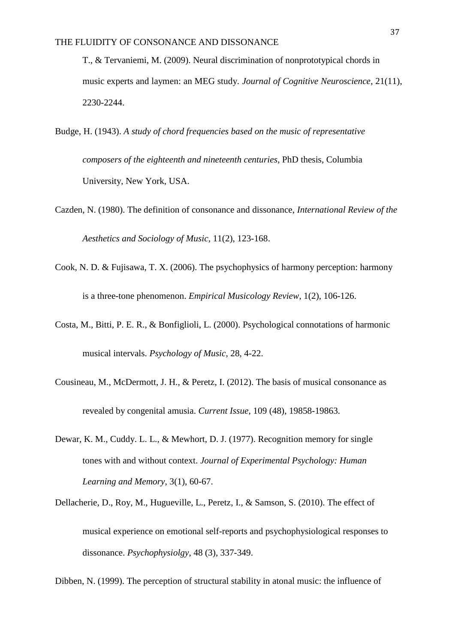- T., & Tervaniemi, M. (2009). Neural discrimination of nonprototypical chords in music experts and laymen: an MEG study. *Journal of Cognitive Neuroscience*, 21(11), 2230-2244.
- Budge, H. (1943). *A study of chord frequencies based on the music of representative composers of the eighteenth and nineteenth centuries*, PhD thesis, Columbia University, New York, USA.
- Cazden, N. (1980). The definition of consonance and dissonance, *International Review of the Aesthetics and Sociology of Music,* 11(2), 123-168.
- Cook, N. D. & Fujisawa, T. X. (2006). The psychophysics of harmony perception: harmony is a three-tone phenomenon. *Empirical Musicology Review*, 1(2), 106-126.
- Costa, M., Bitti, P. E. R., & Bonfiglioli, L. (2000). Psychological connotations of harmonic musical intervals. *Psychology of Music*, 28, 4-22.
- Cousineau, M., McDermott, J. H., & Peretz, I. (2012). The basis of musical consonance as revealed by congenital amusia. *Current Issue*, 109 (48), 19858-19863.
- Dewar, K. M., Cuddy. L. L., & Mewhort, D. J. (1977). Recognition memory for single tones with and without context. *Journal of Experimental Psychology: Human Learning and Memory*, 3(1), 60-67.
- Dellacherie, D., Roy, M., Hugueville, L., Peretz, I., & Samson, S. (2010). The effect of musical experience on emotional self-reports and psychophysiological responses to dissonance. *Psychophysiolgy*, 48 (3), 337-349.

Dibben, N. (1999). The perception of structural stability in atonal music: the influence of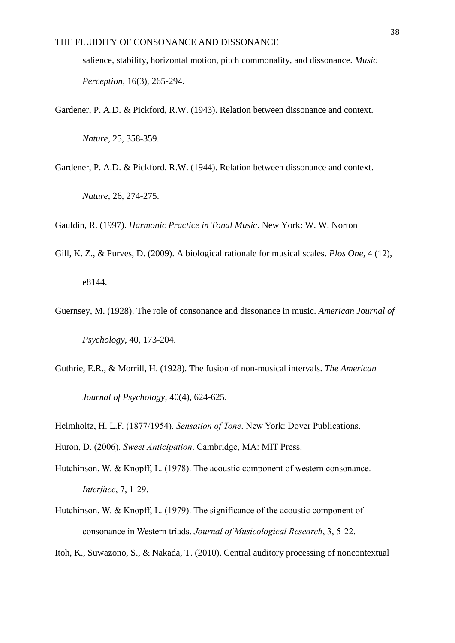salience, stability, horizontal motion, pitch commonality, and dissonance. *Music Perception*, 16(3), 265-294.

Gardener, P. A.D. & Pickford, R.W. (1943). Relation between dissonance and context.

*Nature*, 25, 358-359.

Gardener, P. A.D. & Pickford, R.W. (1944). Relation between dissonance and context. *Nature*, 26, 274-275.

Gauldin, R. (1997). *Harmonic Practice in Tonal Music*. New York: W. W. Norton

- Gill, K. Z., & Purves, D. (2009). A biological rationale for musical scales. *Plos One*, 4 (12), e8144.
- Guernsey, M. (1928). The role of consonance and dissonance in music. *American Journal of Psychology*, 40, 173-204.
- Guthrie, E.R., & Morrill, H. (1928). The fusion of non-musical intervals. *The American Journal of Psychology*, 40(4), 624-625.

Helmholtz, H. L.F. (1877/1954). *Sensation of Tone*. New York: Dover Publications.

Huron, D. (2006). *Sweet Anticipation*. Cambridge, MA: MIT Press.

- Hutchinson, W. & Knopff, L. (1978). The acoustic component of western consonance. *Interface*, 7, 1-29.
- Hutchinson, W. & Knopff, L. (1979). The significance of the acoustic component of consonance in Western triads. *Journal of Musicological Research*, 3, 5-22.

Itoh, K., Suwazono, S., & Nakada, T. (2010). Central auditory processing of noncontextual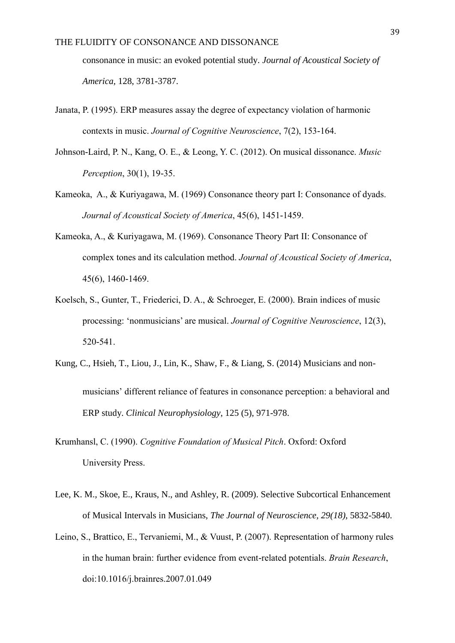consonance in music: an evoked potential study. *Journal of Acoustical Society of America,* 128, 3781-3787*.*

- Janata, P. (1995). ERP measures assay the degree of expectancy violation of harmonic contexts in music. *Journal of Cognitive Neuroscience*, 7(2), 153-164.
- Johnson-Laird, P. N., Kang, O. E., & Leong, Y. C. (2012). On musical dissonance. *Music Perception*, 30(1), 19-35.
- Kameoka, A., & Kuriyagawa, M. (1969) Consonance theory part I: Consonance of dyads. *Journal of Acoustical Society of America*, 45(6), 1451-1459.
- Kameoka, A., & Kuriyagawa, M. (1969). Consonance Theory Part II: Consonance of complex tones and its calculation method. *Journal of Acoustical Society of America*, 45(6), 1460-1469.
- Koelsch, S., Gunter, T., Friederici, D. A., & Schroeger, E. (2000). Brain indices of music processing: 'nonmusicians' are musical. *Journal of Cognitive Neuroscience*, 12(3), 520-541.
- Kung, C., Hsieh, T., Liou, J., Lin, K., Shaw, F., & Liang, S. (2014) Musicians and nonmusicians' different reliance of features in consonance perception: a behavioral and ERP study. *Clinical Neurophysiology*, 125 (5), 971-978.
- Krumhansl, C. (1990). *Cognitive Foundation of Musical Pitch*. Oxford: Oxford University Press.
- Lee, K. M., Skoe, E., Kraus, N., and Ashley, R. (2009). Selective Subcortical Enhancement of Musical Intervals in Musicians, *The Journal of Neuroscience, 29(18),* 5832-5840.
- Leino, S., Brattico, E., Tervaniemi, M., & Vuust, P. (2007). Representation of harmony rules in the human brain: further evidence from event-related potentials. *Brain Research*, doi:10.1016/j.brainres.2007.01.049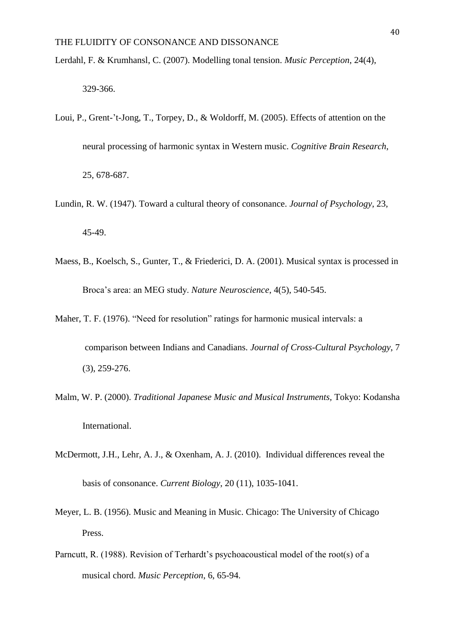- Lerdahl, F. & Krumhansl, C. (2007). Modelling tonal tension. *Music Perception*, 24(4), 329-366.
- Loui, P., Grent-'t-Jong, T., Torpey, D., & Woldorff, M. (2005). Effects of attention on the neural processing of harmonic syntax in Western music. *Cognitive Brain Research*, 25, 678-687.
- Lundin, R. W. (1947). Toward a cultural theory of consonance. *Journal of Psychology*, 23, 45-49.
- Maess, B., Koelsch, S., Gunter, T., & Friederici, D. A. (2001). Musical syntax is processed in Broca's area: an MEG study. *Nature Neuroscience*, 4(5), 540-545.
- Maher, T. F. (1976). "Need for resolution" ratings for harmonic musical intervals: a comparison between Indians and Canadians. *Journal of Cross-Cultural Psychology*, 7 (3), 259-276.
- Malm, W. P. (2000). *Traditional Japanese Music and Musical Instruments,* Tokyo: Kodansha International.
- McDermott, J.H., Lehr, A. J., & Oxenham, A. J. (2010). Individual differences reveal the basis of consonance. *Current Biology*, 20 (11), 1035-1041.
- Meyer, L. B. (1956). Music and Meaning in Music. Chicago: The University of Chicago Press.
- Parncutt, R. (1988). Revision of Terhardt's psychoacoustical model of the root(s) of a musical chord. *Music Perception*, 6, 65-94.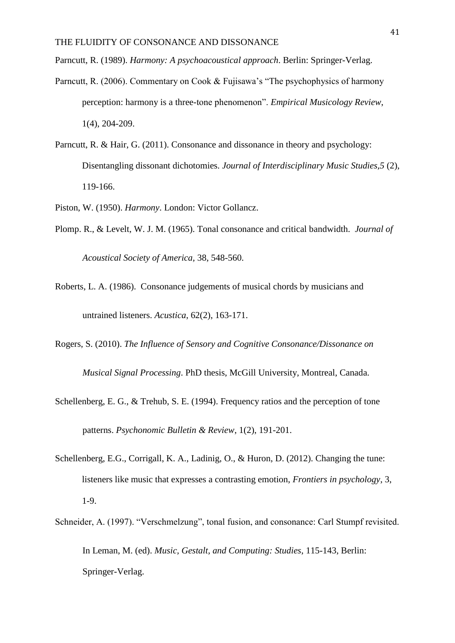Parncutt, R. (1989). *Harmony: A psychoacoustical approach*. Berlin: Springer-Verlag.

- Parncutt, R. (2006). Commentary on Cook & Fujisawa's "The psychophysics of harmony perception: harmony is a three-tone phenomenon". *Empirical Musicology Review*, 1(4), 204-209.
- Parncutt, R. & Hair, G. (2011). Consonance and dissonance in theory and psychology: Disentangling dissonant dichotomies. *Journal of Interdisciplinary Music Studies,5* (2), 119-166.
- Piston, W. (1950). *Harmony*. London: Victor Gollancz.
- Plomp. R., & Levelt, W. J. M. (1965). Tonal consonance and critical bandwidth. *Journal of Acoustical Society of America,* 38, 548-560.
- Roberts, L. A. (1986). Consonance judgements of musical chords by musicians and untrained listeners. *Acustica*, 62(2), 163-171.
- Rogers, S. (2010). *The Influence of Sensory and Cognitive Consonance/Dissonance on*

*Musical Signal Processing*. PhD thesis, McGill University, Montreal, Canada.

- Schellenberg, E. G., & Trehub, S. E. (1994). Frequency ratios and the perception of tone patterns. *Psychonomic Bulletin & Review*, 1(2), 191-201.
- Schellenberg, E.G., Corrigall, K. A., Ladinig, O., & Huron, D. (2012). Changing the tune: listeners like music that expresses a contrasting emotion, *Frontiers in psychology*, 3, 1-9.
- Schneider, A. (1997). "Verschmelzung", tonal fusion, and consonance: Carl Stumpf revisited. In Leman, M. (ed). *Music, Gestalt, and Computing: Studies*, 115-143, Berlin: Springer-Verlag.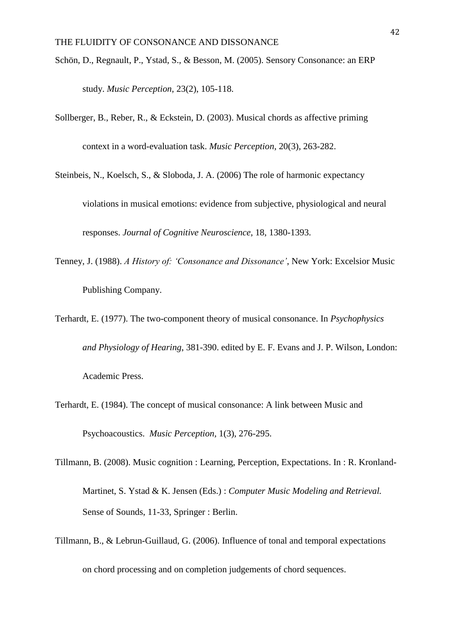- Schön, D., Regnault, P., Ystad, S., & Besson, M. (2005). Sensory Consonance: an ERP study. *Music Perception*, 23(2), 105-118.
- Sollberger, B., Reber, R., & Eckstein, D. (2003). Musical chords as affective priming context in a word-evaluation task. *Music Perception*, 20(3), 263-282.

Steinbeis, N., Koelsch, S., & Sloboda, J. A. (2006) The role of harmonic expectancy

responses. *Journal of Cognitive Neuroscience*, 18, 1380-1393.

Tenney, J. (1988). *A History of: 'Consonance and Dissonance'*, New York: Excelsior Music Publishing Company.

violations in musical emotions: evidence from subjective, physiological and neural

- Terhardt, E. (1977). The two-component theory of musical consonance. In *Psychophysics and Physiology of Hearing*, 381-390. edited by E. F. Evans and J. P. Wilson, London: Academic Press.
- Terhardt, E. (1984). The concept of musical consonance: A link between Music and Psychoacoustics. *Music Perception,* 1(3), 276-295.
- Tillmann, B. (2008). Music cognition : Learning, Perception, Expectations. In : R. Kronland-Martinet, S. Ystad & K. Jensen (Eds.) : *Computer Music Modeling and Retrieval.* Sense of Sounds, 11-33, Springer : Berlin.
- Tillmann, B., & Lebrun-Guillaud, G. (2006). Influence of tonal and temporal expectations on chord processing and on completion judgements of chord sequences.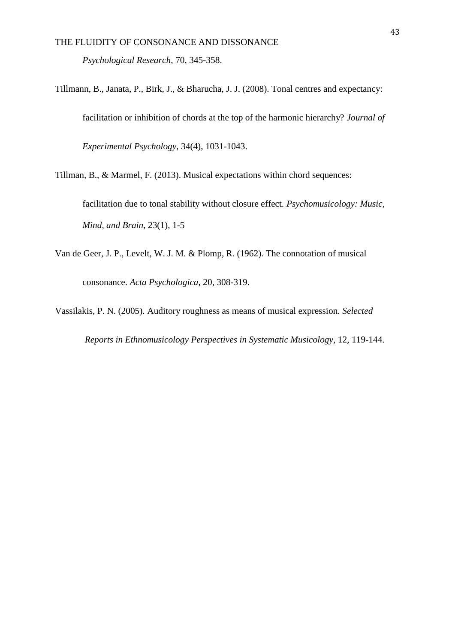Tillmann, B., Janata, P., Birk, J., & Bharucha, J. J. (2008). Tonal centres and expectancy: facilitation or inhibition of chords at the top of the harmonic hierarchy? *Journal of Experimental Psychology*, 34(4), 1031-1043.

Tillman, B., & Marmel, F. (2013). Musical expectations within chord sequences:

facilitation due to tonal stability without closure effect. *Psychomusicology: Music, Mind, and Brain*, 23(1), 1-5

Van de Geer, J. P., Levelt, W. J. M. & Plomp, R. (1962). The connotation of musical consonance. *Acta Psychologica*, 20, 308-319.

Vassilakis, P. N. (2005). Auditory roughness as means of musical expression. *Selected*

*Reports in Ethnomusicology Perspectives in Systematic Musicology*, 12, 119-144.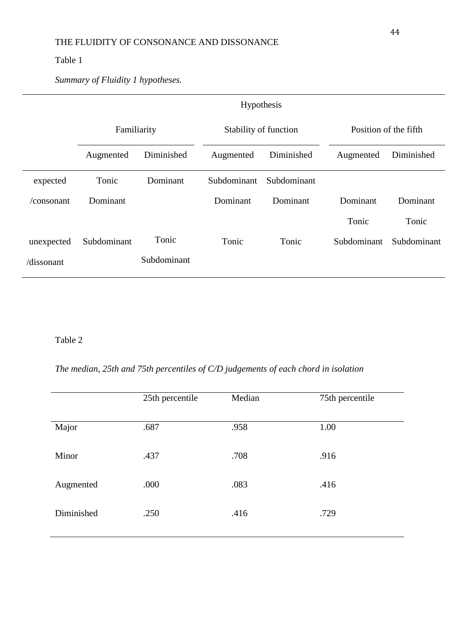#### Table 1

*Summary of Fluidity 1 hypotheses.*

#### Hypothesis Familiarity Stability of function Position of the fifth Augmented Diminished Augmented Diminished Augmented Diminished expected /consonant unexpected /dissonant Tonic Dominant Subdominant Dominant Tonic Subdominant Subdominant Dominant Tonic Subdominant Dominant Tonic Dominant Tonic Subdominant Dominant Tonic Subdominant

# Table 2

# *The median, 25th and 75th percentiles of C/D judgements of each chord in isolation*

|            | 25th percentile | Median | 75th percentile |
|------------|-----------------|--------|-----------------|
| Major      | .687            | .958   | 1.00            |
| Minor      | .437            | .708   | .916            |
| Augmented  | .000            | .083   | .416            |
| Diminished | .250            | .416   | .729            |
|            |                 |        |                 |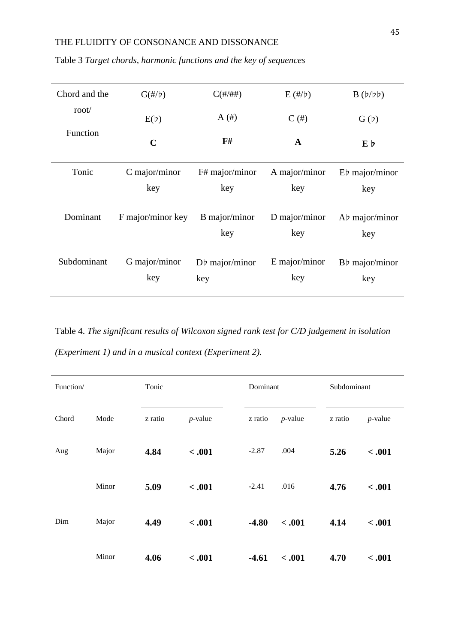| Chord and the   | $G(\#/b)$            | $C(\frac{\#}{\# \#})$       | $E$ (#/b)            | B(b/b)                      |  |
|-----------------|----------------------|-----------------------------|----------------------|-----------------------------|--|
| root $\sqrt{ }$ | E(b)                 | A(f)                        | $C$ (#)              | $G(\mathfrak{b})$           |  |
| Function        | $\mathbf C$          | F#                          | $\mathbf A$          | $E\flat$                    |  |
| Tonic           | $C$ major/minor      | F# major/minor              | A major/minor        | $E\flat$ major/minor        |  |
|                 | key                  | key                         | key                  | key                         |  |
| Dominant        | F major/minor key    | B major/minor<br>key        | D major/minor<br>key | $A\flat$ major/minor<br>key |  |
| Subdominant     | G major/minor<br>key | $D\flat$ major/minor<br>key | E major/minor<br>key | $B\flat$ major/minor<br>key |  |

Table 3 *Target chords, harmonic functions and the key of sequences*

Table 4. *The significant results of Wilcoxon signed rank test for C/D judgement in isolation (Experiment 1) and in a musical context (Experiment 2).*

| Function/ |       | Tonic   |            | Dominant |            | Subdominant |            |
|-----------|-------|---------|------------|----------|------------|-------------|------------|
| Chord     | Mode  | z ratio | $p$ -value | z ratio  | $p$ -value | z ratio     | $p$ -value |
| Aug       | Major | 4.84    | $-.001$    | $-2.87$  | .004       | 5.26        | $-.001$    |
|           | Minor | 5.09    | $-.001$    | $-2.41$  | .016       | 4.76        | $-.001$    |
| Dim       | Major | 4.49    | $-.001$    | $-4.80$  | $-.001$    | 4.14        | $-.001$    |
|           | Minor | 4.06    | $-.001$    | $-4.61$  | $-.001$    | 4.70        | $-.001$    |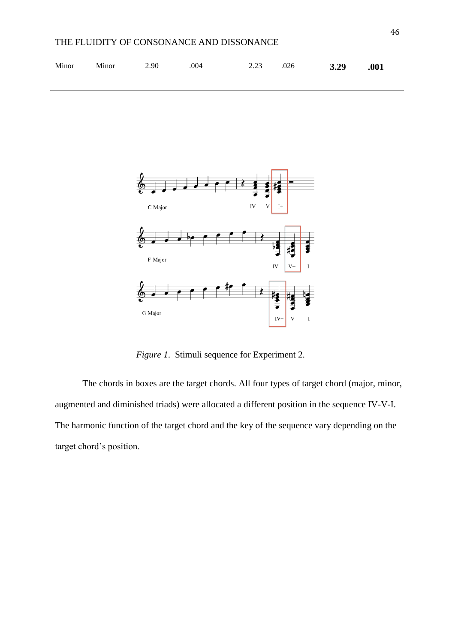|  | Minor Minor 2.90 .004 2.23 .026 3.29 .001 |  |  |
|--|-------------------------------------------|--|--|
|  |                                           |  |  |



*Figure 1*. Stimuli sequence for Experiment 2.

The chords in boxes are the target chords. All four types of target chord (major, minor, augmented and diminished triads) were allocated a different position in the sequence IV-V-I. The harmonic function of the target chord and the key of the sequence vary depending on the target chord's position.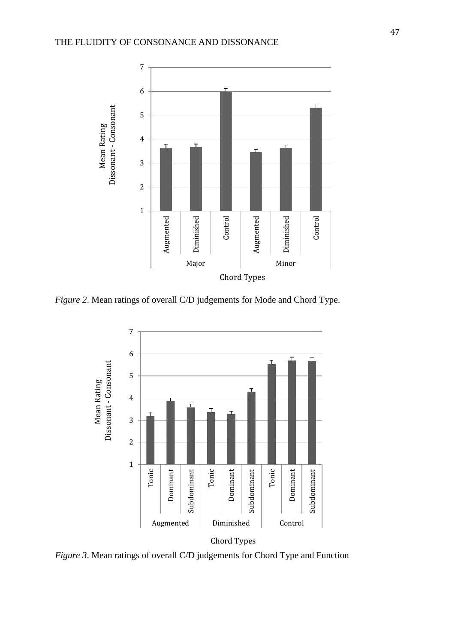

*Figure 2*. Mean ratings of overall C/D judgements for Mode and Chord Type.



*Figure 3*. Mean ratings of overall C/D judgements for Chord Type and Function